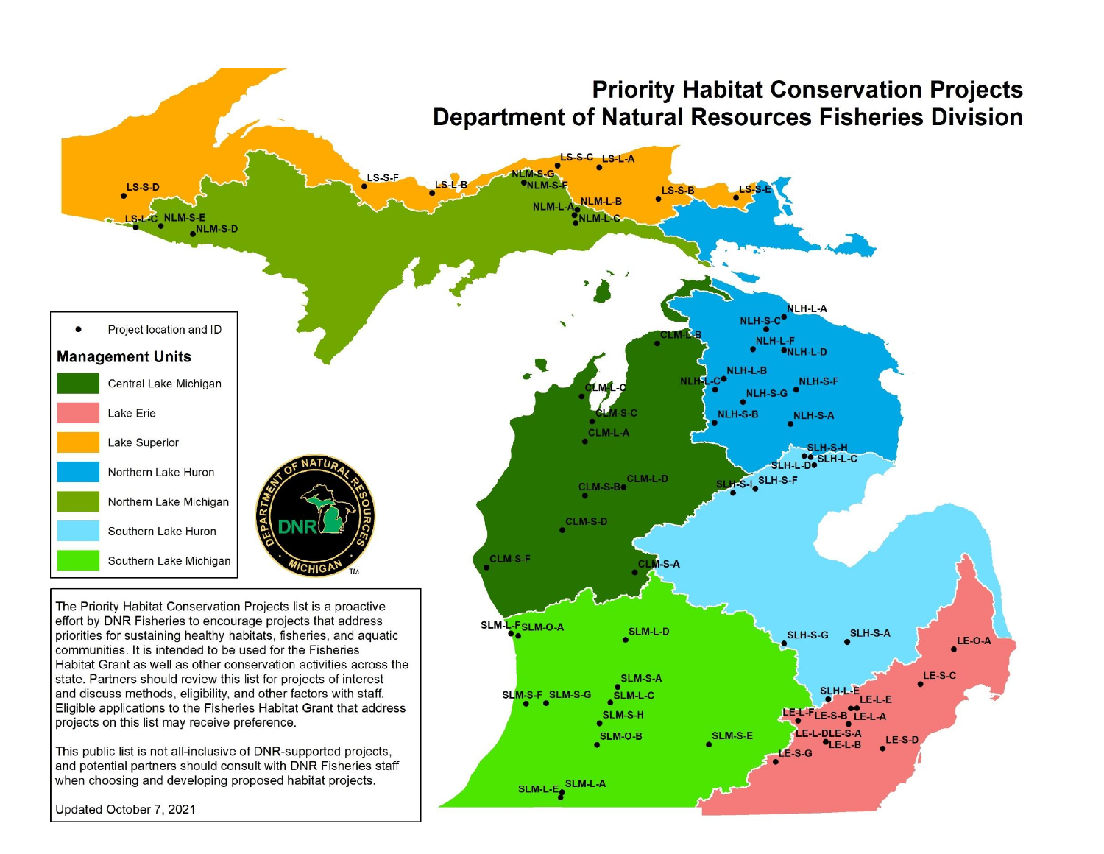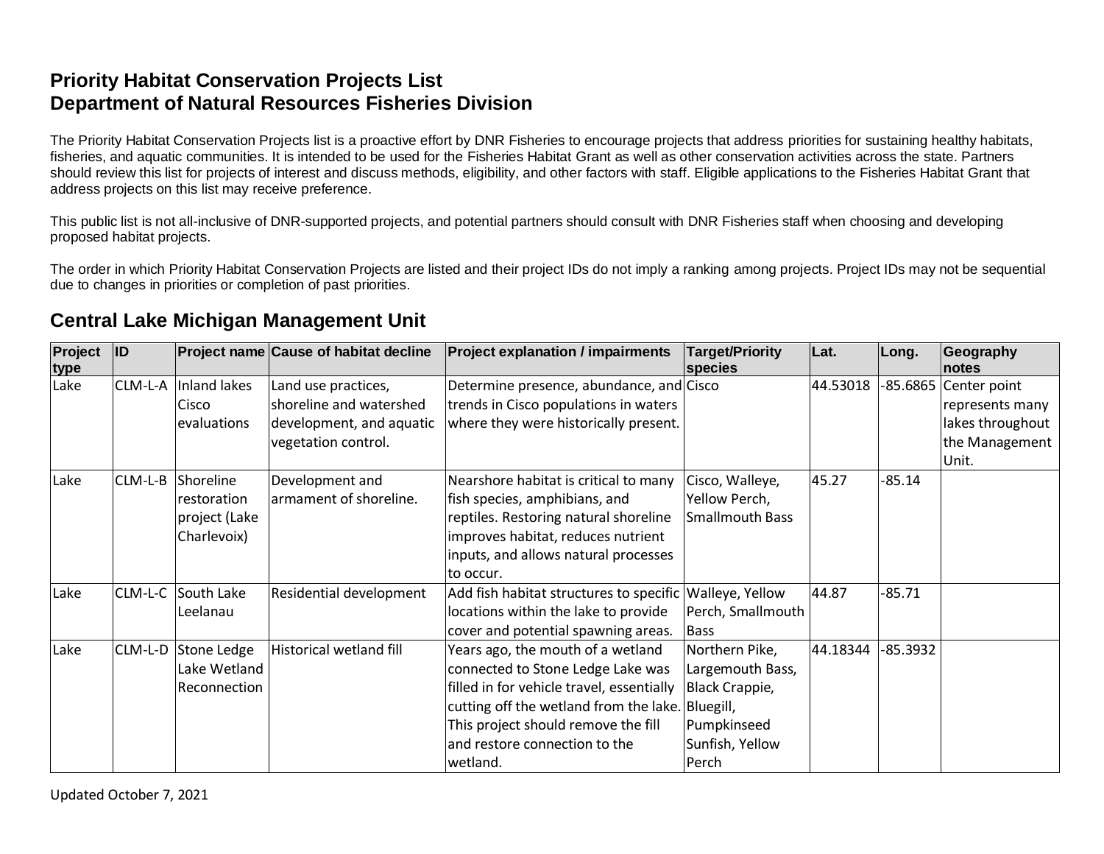#### **Priority Habitat Conservation Projects List Department of Natural Resources Fisheries Division**

The Priority Habitat Conservation Projects list is a proactive effort by DNR Fisheries to encourage projects that address priorities for sustaining healthy habitats, fisheries, and aquatic communities. It is intended to be used for the Fisheries Habitat Grant as well as other conservation activities across the state. Partners should review this list for projects of interest and discuss methods, eligibility, and other factors with staff. Eligible applications to the Fisheries Habitat Grant that address projects on this list may receive preference.

This public list is not all-inclusive of DNR-supported projects, and potential partners should consult with DNR Fisheries staff when choosing and developing proposed habitat projects.

The order in which Priority Habitat Conservation Projects are listed and their project IDs do not imply a ranking among projects. Project IDs may not be sequential due to changes in priorities or completion of past priorities.

#### **Central Lake Michigan Management Unit**

| Project<br>type | <b>ID</b> |               | Project name Cause of habitat decline | <b>Project explanation / impairments</b>         | <b>Target/Priority</b><br>species | Lat.     | Long.    | Geography<br>notes    |
|-----------------|-----------|---------------|---------------------------------------|--------------------------------------------------|-----------------------------------|----------|----------|-----------------------|
| Lake            | CLM-L-A   | Inland lakes  | Land use practices,                   | Determine presence, abundance, and Cisco         |                                   | 44.53018 |          | -85.6865 Center point |
|                 |           | Cisco         | shoreline and watershed               | trends in Cisco populations in waters            |                                   |          |          | represents many       |
|                 |           | evaluations   | development, and aquatic              | where they were historically present.            |                                   |          |          | lakes throughout      |
|                 |           |               | vegetation control.                   |                                                  |                                   |          |          | the Management        |
|                 |           |               |                                       |                                                  |                                   |          |          | Unit.                 |
| Lake            | CLM-L-B   | Shoreline     | Development and                       | Nearshore habitat is critical to many            | Cisco, Walleye,                   | 45.27    | $-85.14$ |                       |
|                 |           | restoration   | armament of shoreline.                | fish species, amphibians, and                    | Yellow Perch,                     |          |          |                       |
|                 |           | project (Lake |                                       | reptiles. Restoring natural shoreline            | <b>Smallmouth Bass</b>            |          |          |                       |
|                 |           | Charlevoix)   |                                       | improves habitat, reduces nutrient               |                                   |          |          |                       |
|                 |           |               |                                       | inputs, and allows natural processes             |                                   |          |          |                       |
|                 |           |               |                                       | lto occur.                                       |                                   |          |          |                       |
| Lake            | CLM-L-C   | South Lake    | Residential development               | Add fish habitat structures to specific          | Walleye, Yellow                   | 44.87    | $-85.71$ |                       |
|                 |           | Leelanau      |                                       | locations within the lake to provide             | Perch, Smallmouth                 |          |          |                       |
|                 |           |               |                                       | cover and potential spawning areas.              | <b>Bass</b>                       |          |          |                       |
| Lake            | CLM-L-D   | Stone Ledge   | Historical wetland fill               | Years ago, the mouth of a wetland                | Northern Pike,                    | 44.18344 | -85.3932 |                       |
|                 |           | Lake Wetland  |                                       | connected to Stone Ledge Lake was                | Largemouth Bass,                  |          |          |                       |
|                 |           | Reconnection  |                                       | filled in for vehicle travel, essentially        | <b>Black Crappie,</b>             |          |          |                       |
|                 |           |               |                                       | cutting off the wetland from the lake. Bluegill, |                                   |          |          |                       |
|                 |           |               |                                       | This project should remove the fill              | Pumpkinseed                       |          |          |                       |
|                 |           |               |                                       | and restore connection to the                    | Sunfish, Yellow                   |          |          |                       |
|                 |           |               |                                       | wetland.                                         | Perch                             |          |          |                       |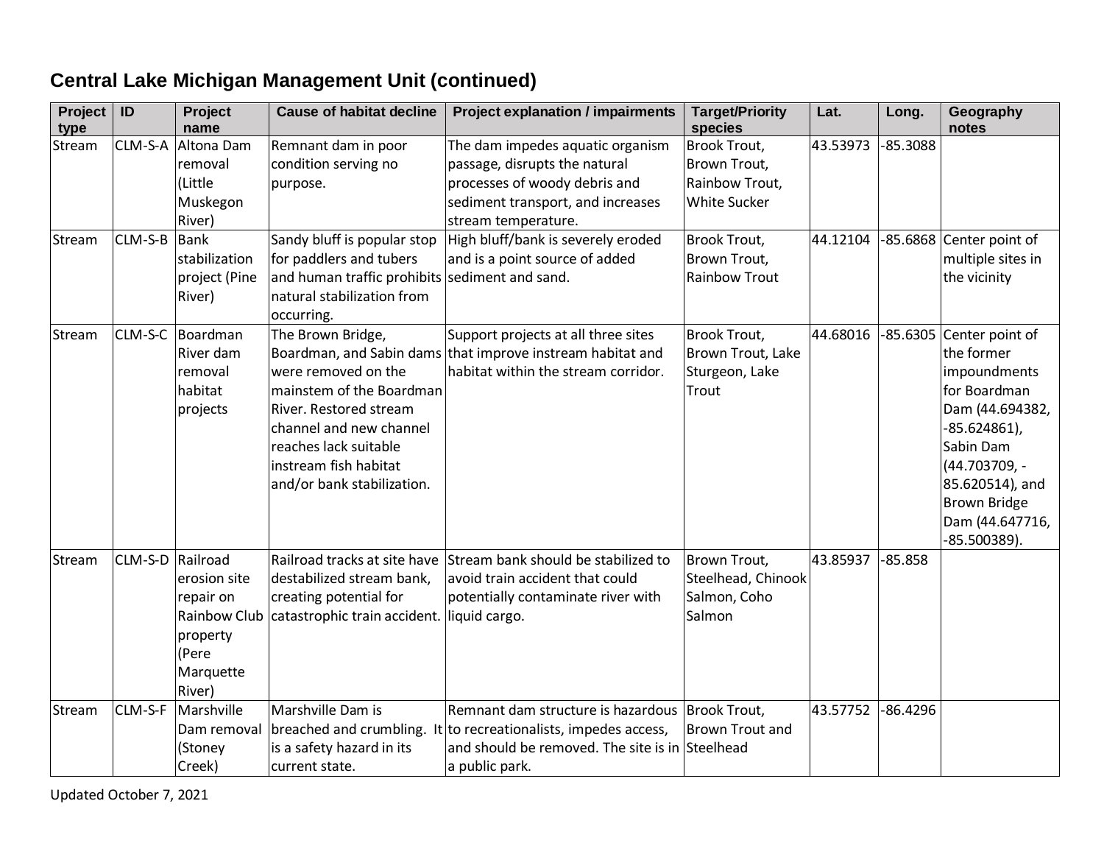#### **Project type ID Project name Cause of habitat decline Project explanation / impairments Target/Priority species Lat. Long. Geography notes** Stream | CLM-S-A | Altona Dam removal (Little Muskegon River) Remnant dam in poor condition serving no purpose. The dam impedes aquatic organism passage, disrupts the natural processes of woody debris and sediment transport, and increases stream temperature. Brook Trout, Brown Trout, Rainbow Trout, White Sucker 43.53973 -85.3088 Stream CLM-S-B Bank stabilization project (Pine River) Sandy bluff is popular stop for paddlers and tubers and human traffic prohibits natural stabilization from occurring. High bluff/bank is severely eroded and is a point source of added sediment and sand. Brook Trout, Brown Trout, Rainbow Trout 44.12104 -85.6868 Center point of multiple sites in the vicinity Stream | CLM-S-C | Boardman River dam removal habitat projects The Brown Bridge, Boardman, and Sabin dams that improve instream habitat and were removed on the mainstem of the Boardman River. Restored stream channel and new channel reaches lack suitable instream fish habitat and/or bank stabilization. Support projects at all three sites habitat within the stream corridor. Brook Trout, Brown Trout, Lake Sturgeon, Lake Trout 44.68016 -85.6305 Center point of the former impoundments for Boardman Dam (44.694382, -85.624861), Sabin Dam (44.703709, - 85.620514), and Brown Bridge Dam (44.647716, -85.500389). Stream CLM-S-D Railroad erosion site repair on Rainbow Club property (Pere **Marquette** River) Railroad tracks at site have Stream bank should be stabilized to destabilized stream bank, creating potential for catastrophic train accident. avoid train accident that could potentially contaminate river with liquid cargo. Brown Trout, Steelhead, Chinook Salmon, Coho Salmon 43.85937 -85.858 Stream CLM-S-F Marshville Dam removal breached and crumbling. It to recreationalists, impedes access, (Stoney Creek) Marshville Dam is is a safety hazard in its current state. Remnant dam structure is hazardous Brook Trout, and should be removed. The site is in Steelhead a public park. Brown Trout and 43.57752 -86.4296

#### **Central Lake Michigan Management Unit (continued)**

Updated October 7, 2021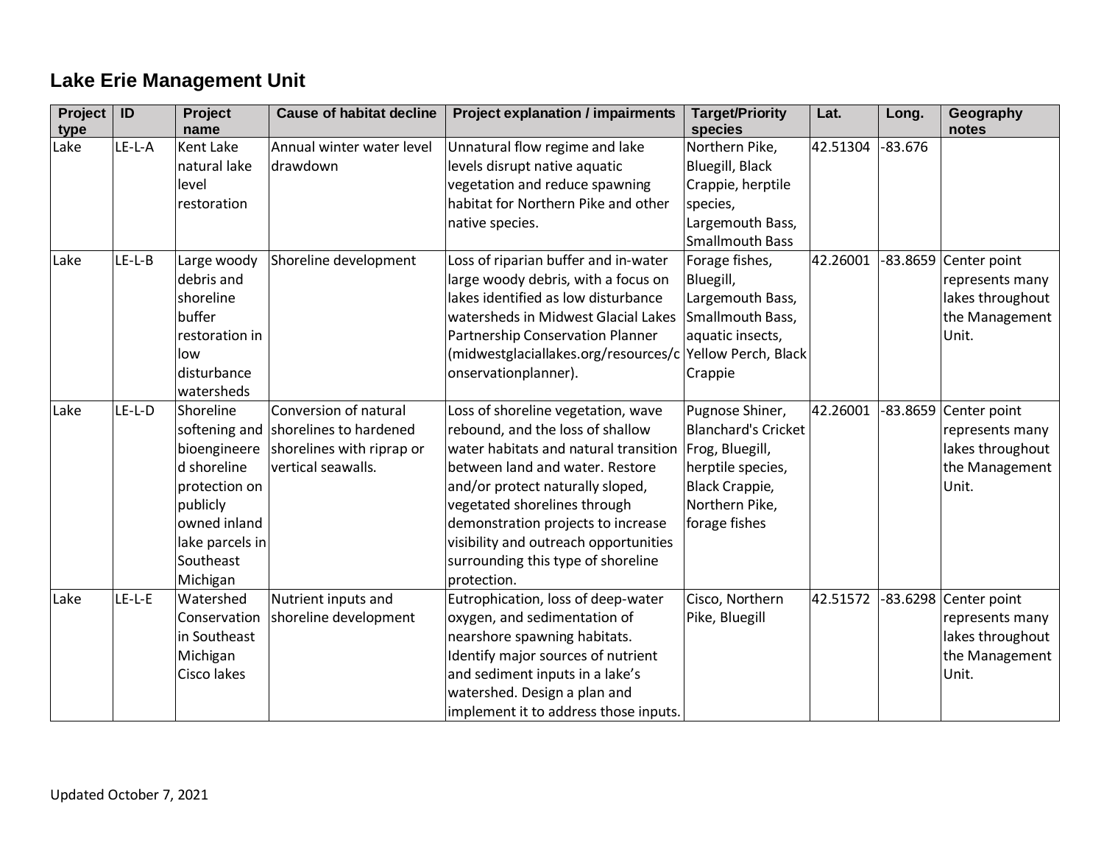# **Lake Erie Management Unit**

| Project<br>type | ID       | <b>Project</b><br>name | <b>Cause of habitat decline</b>      | <b>Project explanation / impairments</b>                 | <b>Target/Priority</b><br>species | Lat.     | Long.     | Geography<br>notes      |
|-----------------|----------|------------------------|--------------------------------------|----------------------------------------------------------|-----------------------------------|----------|-----------|-------------------------|
| Lake            | $LE-L-A$ | Kent Lake              | Annual winter water level            | Unnatural flow regime and lake                           | Northern Pike,                    | 42.51304 | $-83.676$ |                         |
|                 |          | natural lake           | drawdown                             | levels disrupt native aquatic                            | Bluegill, Black                   |          |           |                         |
|                 |          | level                  |                                      | vegetation and reduce spawning                           | Crappie, herptile                 |          |           |                         |
|                 |          | restoration            |                                      | habitat for Northern Pike and other                      | species,                          |          |           |                         |
|                 |          |                        |                                      | native species.                                          | Largemouth Bass,                  |          |           |                         |
|                 |          |                        |                                      |                                                          | <b>Smallmouth Bass</b>            |          |           |                         |
| Lake            | $LE-L-B$ | Large woody            | Shoreline development                | Loss of riparian buffer and in-water                     | Forage fishes,                    | 42.26001 |           | -83.8659 Center point   |
|                 |          | debris and             |                                      | large woody debris, with a focus on                      | Bluegill,                         |          |           | represents many         |
|                 |          | shoreline              |                                      | lakes identified as low disturbance                      | Largemouth Bass,                  |          |           | lakes throughout        |
|                 |          | buffer                 |                                      | watersheds in Midwest Glacial Lakes                      | Smallmouth Bass,                  |          |           | the Management          |
|                 |          | restoration in         |                                      | Partnership Conservation Planner                         | aquatic insects,                  |          |           | Unit.                   |
|                 |          | low                    |                                      | (midwestglaciallakes.org/resources/c Yellow Perch, Black |                                   |          |           |                         |
|                 |          | disturbance            |                                      | onservationplanner).                                     | Crappie                           |          |           |                         |
|                 |          | watersheds             |                                      |                                                          |                                   |          |           |                         |
| Lake            | $LE-L-D$ | Shoreline              | Conversion of natural                | Loss of shoreline vegetation, wave                       | Pugnose Shiner,                   | 42.26001 |           | $-83.8659$ Center point |
|                 |          |                        | softening and shorelines to hardened | rebound, and the loss of shallow                         | <b>Blanchard's Cricket</b>        |          |           | represents many         |
|                 |          | bioengineere           | shorelines with riprap or            | water habitats and natural transition   Frog, Bluegill,  |                                   |          |           | lakes throughout        |
|                 |          | d shoreline            | vertical seawalls.                   | between land and water. Restore                          | herptile species,                 |          |           | the Management          |
|                 |          | protection on          |                                      | and/or protect naturally sloped,                         | <b>Black Crappie,</b>             |          |           | Unit.                   |
|                 |          | publicly               |                                      | vegetated shorelines through                             | Northern Pike,                    |          |           |                         |
|                 |          | owned inland           |                                      | demonstration projects to increase                       | forage fishes                     |          |           |                         |
|                 |          | lake parcels in        |                                      | visibility and outreach opportunities                    |                                   |          |           |                         |
|                 |          | Southeast              |                                      | surrounding this type of shoreline                       |                                   |          |           |                         |
|                 |          | Michigan               |                                      | protection.                                              |                                   |          |           |                         |
| Lake            | $LE-L-E$ | Watershed              | Nutrient inputs and                  | Eutrophication, loss of deep-water                       | Cisco, Northern                   | 42.51572 |           | -83.6298 Center point   |
|                 |          | Conservation           | shoreline development                | oxygen, and sedimentation of                             | Pike, Bluegill                    |          |           | represents many         |
|                 |          | in Southeast           |                                      | nearshore spawning habitats.                             |                                   |          |           | lakes throughout        |
|                 |          | Michigan               |                                      | Identify major sources of nutrient                       |                                   |          |           | the Management          |
|                 |          | Cisco lakes            |                                      | and sediment inputs in a lake's                          |                                   |          |           | Unit.                   |
|                 |          |                        |                                      | watershed. Design a plan and                             |                                   |          |           |                         |
|                 |          |                        |                                      | implement it to address those inputs.                    |                                   |          |           |                         |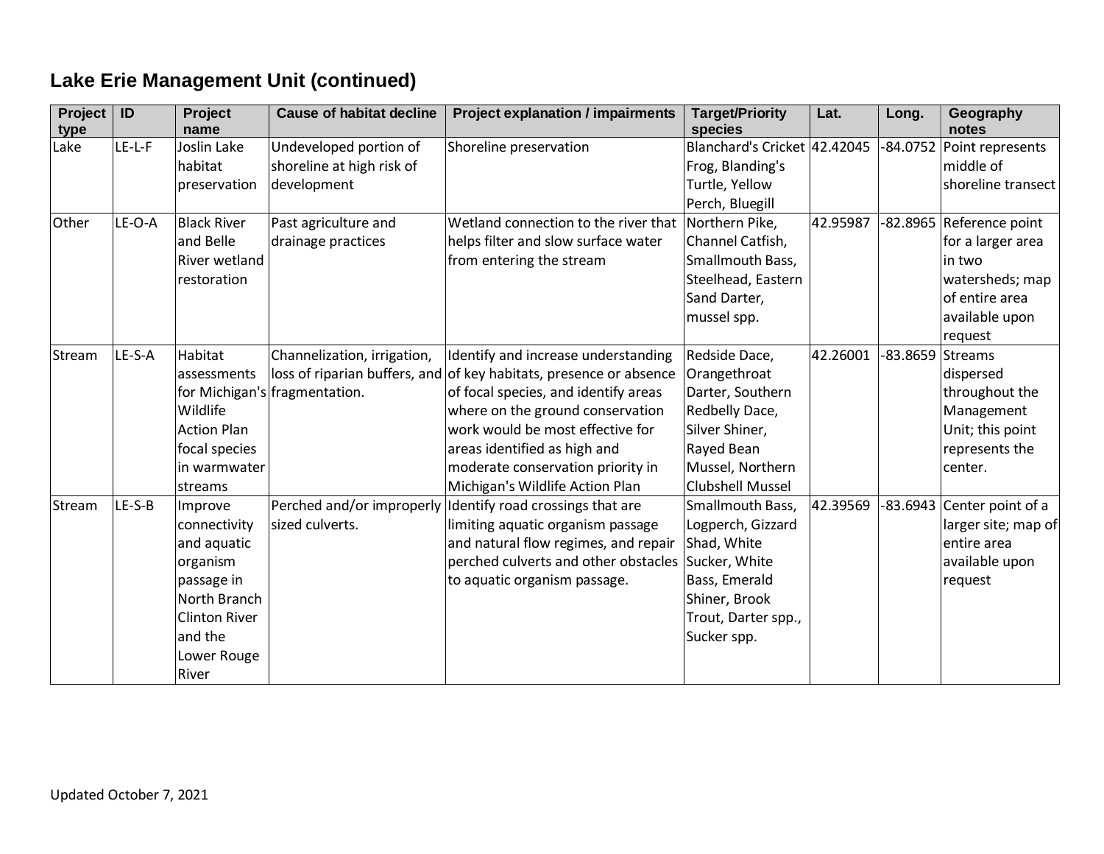# **Lake Erie Management Unit (continued)**

| Project<br>type | ID     | Project<br>name      | <b>Cause of habitat decline</b> | <b>Project explanation / impairments</b> | <b>Target/Priority</b><br>species | Lat.     | Long.      | Geography<br>notes         |
|-----------------|--------|----------------------|---------------------------------|------------------------------------------|-----------------------------------|----------|------------|----------------------------|
| Lake            | LE-L-F | Joslin Lake          | Undeveloped portion of          | Shoreline preservation                   | Blanchard's Cricket 42.42045      |          | $-84.0752$ | Point represents           |
|                 |        | habitat              | shoreline at high risk of       |                                          | Frog, Blanding's                  |          |            | middle of                  |
|                 |        | preservation         | development                     |                                          | Turtle, Yellow                    |          |            | shoreline transect         |
|                 |        |                      |                                 |                                          | Perch, Bluegill                   |          |            |                            |
| Other           | LE-O-A | <b>Black River</b>   | Past agriculture and            | Wetland connection to the river that     | Northern Pike,                    | 42.95987 |            | -82.8965 Reference point   |
|                 |        | and Belle            | drainage practices              | helps filter and slow surface water      | Channel Catfish,                  |          |            | for a larger area          |
|                 |        | River wetland        |                                 | from entering the stream                 | Smallmouth Bass,                  |          |            | in two                     |
|                 |        | restoration          |                                 |                                          | Steelhead, Eastern                |          |            | watersheds; map            |
|                 |        |                      |                                 |                                          | Sand Darter,                      |          |            | of entire area             |
|                 |        |                      |                                 |                                          | mussel spp.                       |          |            | available upon             |
|                 |        |                      |                                 |                                          |                                   |          |            | request                    |
| Stream          | LE-S-A | Habitat              | Channelization, irrigation,     | Identify and increase understanding      | Redside Dace,                     | 42.26001 | 83.8659    | Streams                    |
|                 |        | assessments          | loss of riparian buffers, and   | of key habitats, presence or absence     | Orangethroat                      |          |            | dispersed                  |
|                 |        |                      | for Michigan's fragmentation.   | of focal species, and identify areas     | Darter, Southern                  |          |            | throughout the             |
|                 |        | Wildlife             |                                 | where on the ground conservation         | Redbelly Dace,                    |          |            | Management                 |
|                 |        | <b>Action Plan</b>   |                                 | work would be most effective for         | Silver Shiner,                    |          |            | Unit; this point           |
|                 |        | focal species        |                                 | areas identified as high and             | Rayed Bean                        |          |            | represents the             |
|                 |        | in warmwater         |                                 | moderate conservation priority in        | Mussel, Northern                  |          |            | center.                    |
|                 |        | streams              |                                 | Michigan's Wildlife Action Plan          | <b>Clubshell Mussel</b>           |          |            |                            |
| Stream          | LE-S-B | Improve              | Perched and/or improperly       | Identify road crossings that are         | Smallmouth Bass,                  | 42.39569 |            | -83.6943 Center point of a |
|                 |        | connectivity         | sized culverts.                 | limiting aquatic organism passage        | Logperch, Gizzard                 |          |            | larger site; map of        |
|                 |        | and aquatic          |                                 | and natural flow regimes, and repair     | Shad, White                       |          |            | entire area                |
|                 |        | organism             |                                 | perched culverts and other obstacles     | Sucker, White                     |          |            | available upon             |
|                 |        | passage in           |                                 | to aquatic organism passage.             | Bass, Emerald                     |          |            | request                    |
|                 |        | North Branch         |                                 |                                          | Shiner, Brook                     |          |            |                            |
|                 |        | <b>Clinton River</b> |                                 |                                          | Trout, Darter spp.,               |          |            |                            |
|                 |        | and the              |                                 |                                          | Sucker spp.                       |          |            |                            |
|                 |        | Lower Rouge          |                                 |                                          |                                   |          |            |                            |
|                 |        | River                |                                 |                                          |                                   |          |            |                            |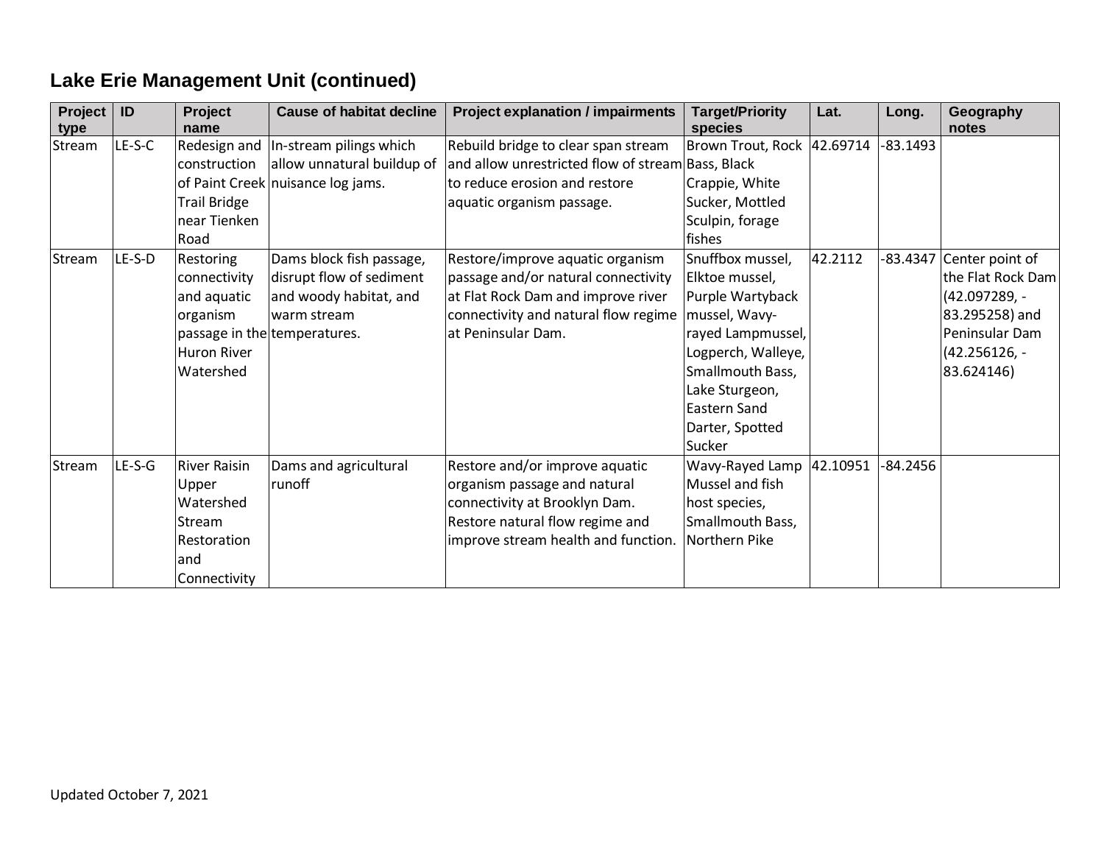| Project<br>type | ID       | Project<br>name                                                                                  | <b>Cause of habitat decline</b>                                                                                               | <b>Project explanation / impairments</b>                                                                                                                                    | <b>Target/Priority</b><br>species                                                                                                                                                                               | Lat.     | Long.      | Geography<br>notes                                                                                                         |
|-----------------|----------|--------------------------------------------------------------------------------------------------|-------------------------------------------------------------------------------------------------------------------------------|-----------------------------------------------------------------------------------------------------------------------------------------------------------------------------|-----------------------------------------------------------------------------------------------------------------------------------------------------------------------------------------------------------------|----------|------------|----------------------------------------------------------------------------------------------------------------------------|
| Stream          | $LE-S-C$ | Redesign and<br>construction<br><b>Trail Bridge</b><br>near Tienken                              | In-stream pilings which<br>allow unnatural buildup of<br>of Paint Creek nuisance log jams.                                    | Rebuild bridge to clear span stream<br>and allow unrestricted flow of stream Bass, Black<br>to reduce erosion and restore<br>aquatic organism passage.                      | Brown Trout, Rock 42.69714<br>Crappie, White<br>Sucker, Mottled<br>Sculpin, forage                                                                                                                              |          | $-83.1493$ |                                                                                                                            |
| Stream          | LE-S-D   | Road<br>Restoring<br>connectivity<br>and aquatic<br>organism<br><b>Huron River</b><br>Watershed  | Dams block fish passage,<br>disrupt flow of sediment<br>and woody habitat, and<br>warm stream<br>passage in the temperatures. | Restore/improve aquatic organism<br>passage and/or natural connectivity<br>at Flat Rock Dam and improve river<br>connectivity and natural flow regime<br>at Peninsular Dam. | fishes<br>Snuffbox mussel,<br>Elktoe mussel,<br>Purple Wartyback<br>mussel, Wavy-<br>rayed Lampmussel,<br>Logperch, Walleye,<br>Smallmouth Bass,<br>Lake Sturgeon,<br>Eastern Sand<br>Darter, Spotted<br>Sucker | 42.2112  | -83.4347   | Center point of<br>the Flat Rock Dam<br>$(42.097289,-$<br>83.295258) and<br>Peninsular Dam<br>$(42.256126,-$<br>83.624146) |
| Stream          | $LE-S-G$ | <b>River Raisin</b><br>Upper<br>Watershed<br><b>Stream</b><br>Restoration<br>and<br>Connectivity | Dams and agricultural<br>runoff                                                                                               | Restore and/or improve aquatic<br>organism passage and natural<br>connectivity at Brooklyn Dam.<br>Restore natural flow regime and<br>improve stream health and function.   | Wavy-Rayed Lamp<br>Mussel and fish<br>host species,<br>Smallmouth Bass,<br>Northern Pike                                                                                                                        | 42.10951 | $-84.2456$ |                                                                                                                            |

# **Lake Erie Management Unit (continued)**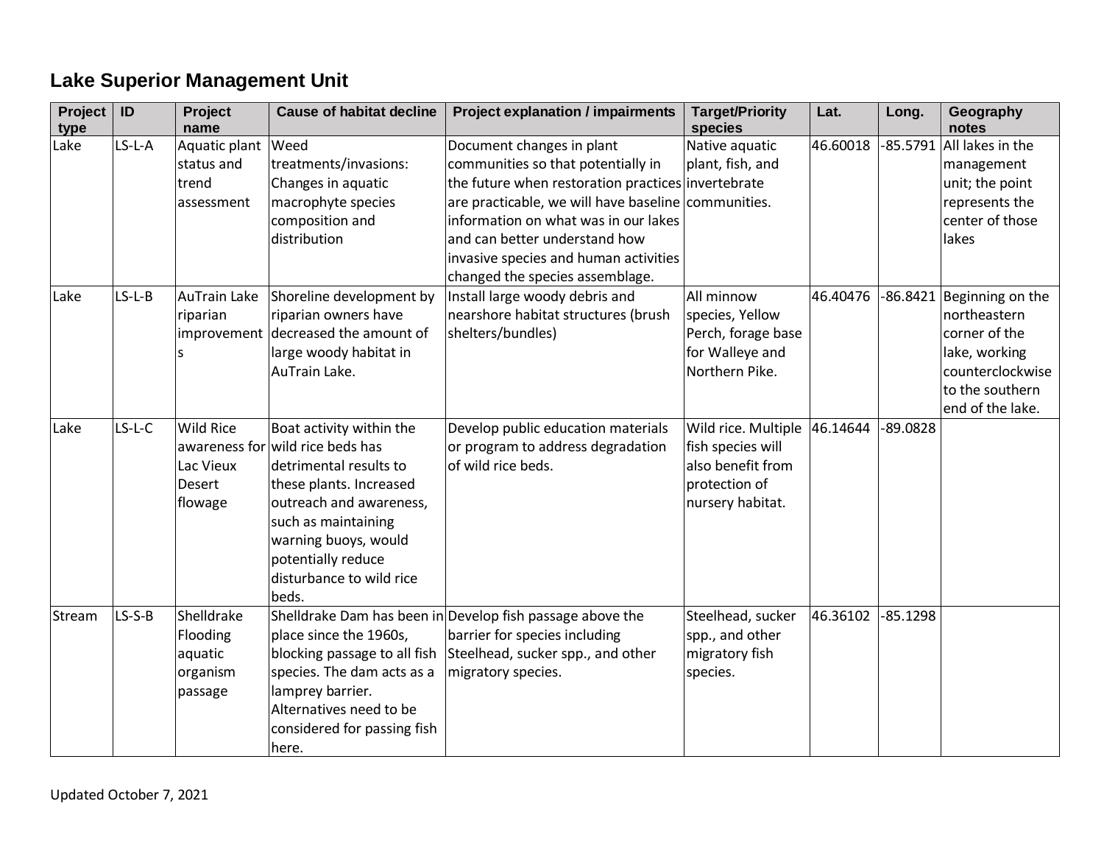# **Lake Superior Management Unit**

| Project<br>type | ID       | Project<br>name                                                     | <b>Cause of habitat decline</b>                                                                                                                                                                                                          | <b>Project explanation / impairments</b>                                                                                                                                                                                                                                                                                          | <b>Target/Priority</b><br>species                                                                  | Lat.     | Long.      | Geography<br>notes                                                                                                            |
|-----------------|----------|---------------------------------------------------------------------|------------------------------------------------------------------------------------------------------------------------------------------------------------------------------------------------------------------------------------------|-----------------------------------------------------------------------------------------------------------------------------------------------------------------------------------------------------------------------------------------------------------------------------------------------------------------------------------|----------------------------------------------------------------------------------------------------|----------|------------|-------------------------------------------------------------------------------------------------------------------------------|
| Lake            | $LS-L-A$ | Aquatic plant<br>status and<br>trend<br>assessment                  | Weed<br>treatments/invasions:<br>Changes in aquatic<br>macrophyte species<br>composition and<br>distribution                                                                                                                             | Document changes in plant<br>communities so that potentially in<br>the future when restoration practices invertebrate<br>are practicable, we will have baseline communities.<br>information on what was in our lakes<br>and can better understand how<br>invasive species and human activities<br>changed the species assemblage. | Native aquatic<br>plant, fish, and                                                                 | 46.60018 | $-85.5791$ | All lakes in the<br>management<br>unit; the point<br>represents the<br>center of those<br>lakes                               |
| Lake            | $LS-L-B$ | <b>AuTrain Lake</b><br>riparian                                     | Shoreline development by<br>riparian owners have<br>improvement decreased the amount of<br>large woody habitat in<br>AuTrain Lake.                                                                                                       | Install large woody debris and<br>nearshore habitat structures (brush<br>shelters/bundles)                                                                                                                                                                                                                                        | All minnow<br>species, Yellow<br>Perch, forage base<br>for Walleye and<br>Northern Pike.           | 46.40476 | $-86.8421$ | Beginning on the<br>northeastern<br>corner of the<br>lake, working<br>counterclockwise<br>to the southern<br>end of the lake. |
| Lake            | $LS-L-C$ | <b>Wild Rice</b><br>awareness for<br>Lac Vieux<br>Desert<br>flowage | Boat activity within the<br>wild rice beds has<br>detrimental results to<br>these plants. Increased<br>outreach and awareness,<br>such as maintaining<br>warning buoys, would<br>potentially reduce<br>disturbance to wild rice<br>beds. | Develop public education materials<br>or program to address degradation<br>of wild rice beds.                                                                                                                                                                                                                                     | Wild rice. Multiple<br>fish species will<br>also benefit from<br>protection of<br>nursery habitat. | 46.14644 | $-89.0828$ |                                                                                                                               |
| Stream          | $LS-S-B$ | Shelldrake<br>Flooding<br>aquatic<br>organism<br>passage            | place since the 1960s,<br>blocking passage to all fish<br>species. The dam acts as a<br>lamprey barrier.<br>Alternatives need to be<br>considered for passing fish<br>here.                                                              | Shelldrake Dam has been in Develop fish passage above the<br>barrier for species including<br>Steelhead, sucker spp., and other<br>migratory species.                                                                                                                                                                             | Steelhead, sucker<br>spp., and other<br>migratory fish<br>species.                                 | 46.36102 | $-85.1298$ |                                                                                                                               |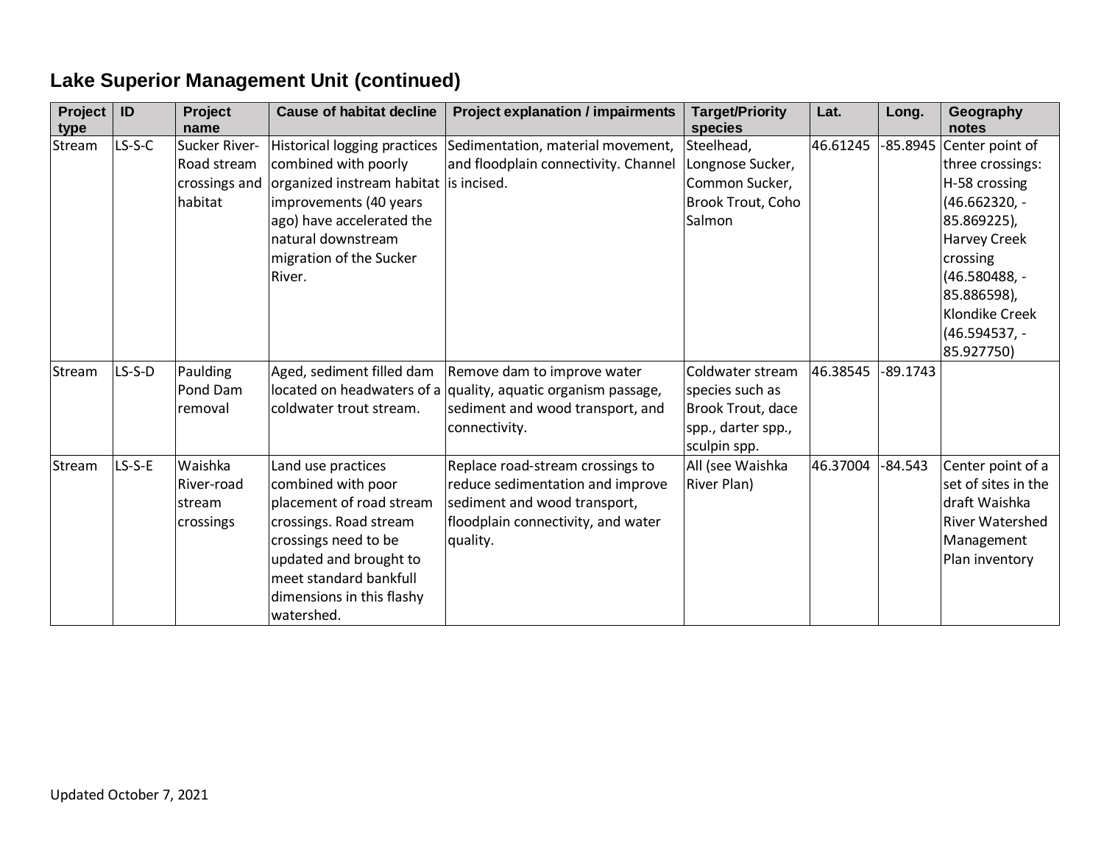| Project<br>type | ID       | Project<br>name                                          | <b>Cause of habitat decline</b>                                                                                                                                                                                       | <b>Project explanation / impairments</b>                                                                                                               | <b>Target/Priority</b><br>species                                                              | Lat.     | Long.      | Geography<br>notes                                                                                                                                                                                       |
|-----------------|----------|----------------------------------------------------------|-----------------------------------------------------------------------------------------------------------------------------------------------------------------------------------------------------------------------|--------------------------------------------------------------------------------------------------------------------------------------------------------|------------------------------------------------------------------------------------------------|----------|------------|----------------------------------------------------------------------------------------------------------------------------------------------------------------------------------------------------------|
| Stream          | $LS-S-C$ | Sucker River-<br>Road stream<br>crossings and<br>habitat | Historical logging practices<br>combined with poorly<br>organized instream habitat is incised.<br>improvements (40 years<br>ago) have accelerated the<br>natural downstream<br>migration of the Sucker<br>River.      | Sedimentation, material movement,<br>and floodplain connectivity. Channel                                                                              | Steelhead,<br>Longnose Sucker,<br>Common Sucker,<br>Brook Trout, Coho<br>Salmon                | 46.61245 | -85.8945   | Center point of<br>three crossings:<br>H-58 crossing<br>(46.662320, -<br>85.869225),<br><b>Harvey Creek</b><br>crossing<br>(46.580488, -<br>85.886598),<br>Klondike Creek<br>(46.594537, -<br>85.927750) |
| Stream          | $LS-S-D$ | Paulding<br>Pond Dam<br>removal                          | Aged, sediment filled dam<br>coldwater trout stream.                                                                                                                                                                  | Remove dam to improve water<br>located on headwaters of a quality, aquatic organism passage,<br>sediment and wood transport, and<br>connectivity.      | Coldwater stream<br>species such as<br>Brook Trout, dace<br>spp., darter spp.,<br>sculpin spp. | 46.38545 | $-89.1743$ |                                                                                                                                                                                                          |
| Stream          | LS-S-E   | Waishka<br>River-road<br>stream<br>crossings             | Land use practices<br>combined with poor<br>placement of road stream<br>crossings. Road stream<br>crossings need to be<br>updated and brought to<br>meet standard bankfull<br>dimensions in this flashy<br>watershed. | Replace road-stream crossings to<br>reduce sedimentation and improve<br>sediment and wood transport,<br>floodplain connectivity, and water<br>quality. | All (see Waishka<br><b>River Plan)</b>                                                         | 46.37004 | $-84.543$  | Center point of a<br>set of sites in the<br>draft Waishka<br><b>River Watershed</b><br>Management<br>Plan inventory                                                                                      |

# **Lake Superior Management Unit (continued)**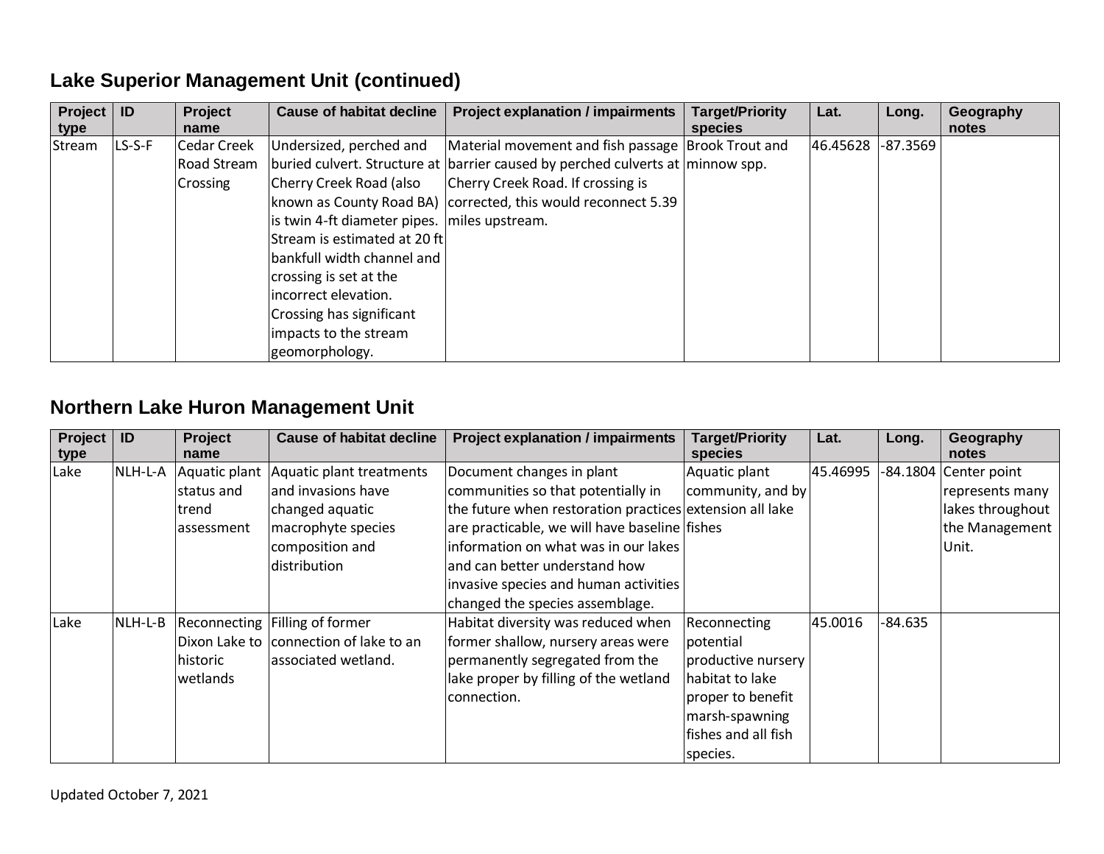# **Lake Superior Management Unit (continued)**

| Project  <br>type | ID     | <b>Project</b><br>name | <b>Cause of habitat decline</b>                | <b>Project explanation / impairments</b>                                       | <b>Target/Priority</b><br>species | Lat.     | Long.    | Geography<br>notes |
|-------------------|--------|------------------------|------------------------------------------------|--------------------------------------------------------------------------------|-----------------------------------|----------|----------|--------------------|
| Stream            | LS-S-F | Cedar Creek            | Undersized, perched and                        | Material movement and fish passage Brook Trout and                             |                                   | 46.45628 | -87.3569 |                    |
|                   |        | Road Stream            |                                                | buried culvert. Structure at barrier caused by perched culverts at minnow spp. |                                   |          |          |                    |
|                   |        | Crossing               | Cherry Creek Road (also                        | Cherry Creek Road. If crossing is                                              |                                   |          |          |                    |
|                   |        |                        |                                                | known as County Road BA) corrected, this would reconnect 5.39                  |                                   |          |          |                    |
|                   |        |                        | is twin 4-ft diameter pipes.   miles upstream. |                                                                                |                                   |          |          |                    |
|                   |        |                        | Stream is estimated at 20 ft                   |                                                                                |                                   |          |          |                    |
|                   |        |                        | bankfull width channel and                     |                                                                                |                                   |          |          |                    |
|                   |        |                        | crossing is set at the                         |                                                                                |                                   |          |          |                    |
|                   |        |                        | incorrect elevation.                           |                                                                                |                                   |          |          |                    |
|                   |        |                        | Crossing has significant                       |                                                                                |                                   |          |          |                    |
|                   |        |                        | impacts to the stream                          |                                                                                |                                   |          |          |                    |
|                   |        |                        | geomorphology.                                 |                                                                                |                                   |          |          |                    |

#### **Northern Lake Huron Management Unit**

| <b>Project</b><br>type | ID      | <b>Project</b><br>name | <b>Cause of habitat decline</b>        | <b>Project explanation / impairments</b>                 | <b>Target/Priority</b><br>species | Lat.     | Long.     | Geography<br>notes    |
|------------------------|---------|------------------------|----------------------------------------|----------------------------------------------------------|-----------------------------------|----------|-----------|-----------------------|
| Lake                   | NLH-L-A | Aquatic plant          | Aquatic plant treatments               | Document changes in plant                                | Aquatic plant                     | 45.46995 |           | -84.1804 Center point |
|                        |         | status and             | and invasions have                     | communities so that potentially in                       | community, and by                 |          |           | represents many       |
|                        |         | trend                  | changed aquatic                        | the future when restoration practices extension all lake |                                   |          |           | lakes throughout      |
|                        |         | assessment             | macrophyte species                     | are practicable, we will have baseline fishes            |                                   |          |           | the Management        |
|                        |         |                        | composition and                        | information on what was in our lakes                     |                                   |          |           | Unit.                 |
|                        |         |                        | distribution                           | and can better understand how                            |                                   |          |           |                       |
|                        |         |                        |                                        | invasive species and human activities                    |                                   |          |           |                       |
|                        |         |                        |                                        | changed the species assemblage.                          |                                   |          |           |                       |
| Lake                   | NLH-L-B |                        | Reconnecting Filling of former         | Habitat diversity was reduced when                       | Reconnecting                      | 45.0016  | $-84.635$ |                       |
|                        |         |                        | Dixon Lake to connection of lake to an | former shallow, nursery areas were                       | potential                         |          |           |                       |
|                        |         | historic               | associated wetland.                    | permanently segregated from the                          | productive nursery                |          |           |                       |
|                        |         | wetlands               |                                        | lake proper by filling of the wetland                    | habitat to lake                   |          |           |                       |
|                        |         |                        |                                        | connection.                                              | proper to benefit                 |          |           |                       |
|                        |         |                        |                                        |                                                          | marsh-spawning                    |          |           |                       |
|                        |         |                        |                                        |                                                          | fishes and all fish               |          |           |                       |
|                        |         |                        |                                        |                                                          | species.                          |          |           |                       |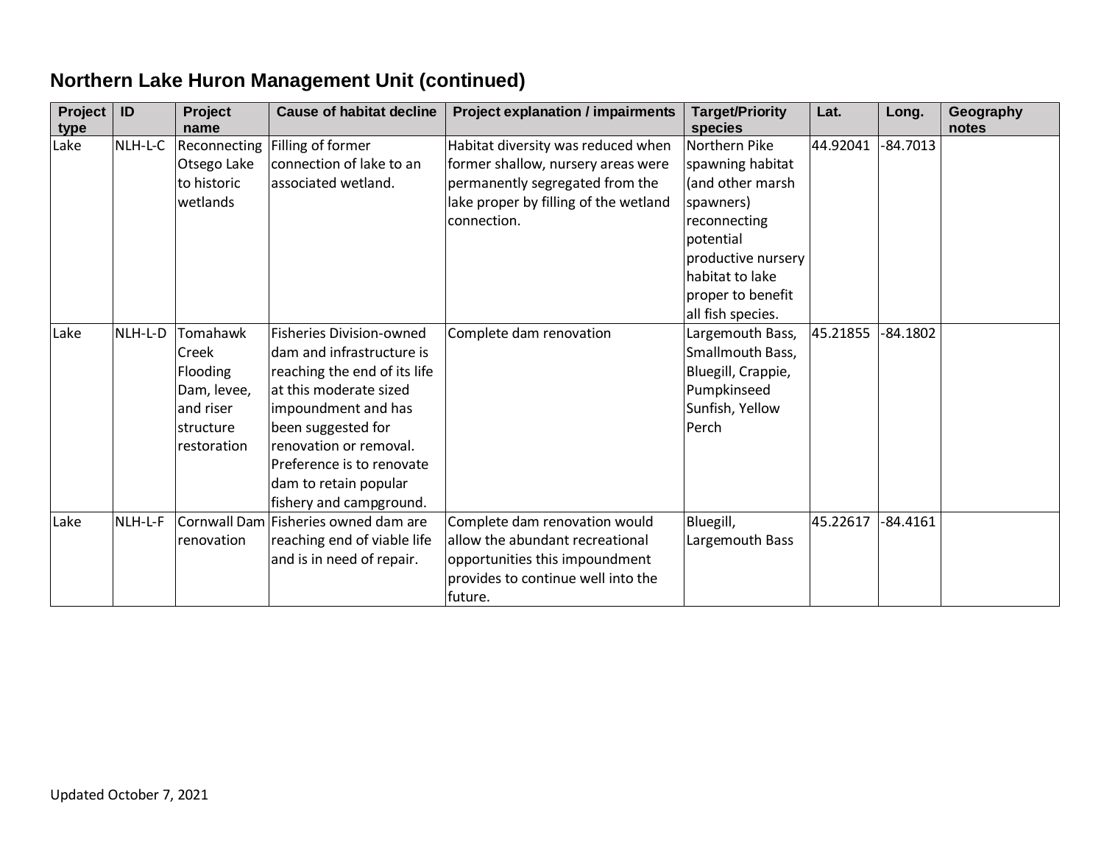| Project<br>type | ID      | Project<br>name                                                                       | <b>Cause of habitat decline</b>                                                                                                                                                                                                                                                | <b>Project explanation / impairments</b>                                                                                                                            | <b>Target/Priority</b><br>species                                                                                                        | Lat.     | Long.      | Geography<br>notes |
|-----------------|---------|---------------------------------------------------------------------------------------|--------------------------------------------------------------------------------------------------------------------------------------------------------------------------------------------------------------------------------------------------------------------------------|---------------------------------------------------------------------------------------------------------------------------------------------------------------------|------------------------------------------------------------------------------------------------------------------------------------------|----------|------------|--------------------|
| Lake            | NLH-L-C | Reconnecting<br>Otsego Lake<br>to historic<br>wetlands                                | Filling of former<br>connection of lake to an<br>associated wetland.                                                                                                                                                                                                           | Habitat diversity was reduced when<br>former shallow, nursery areas were<br>permanently segregated from the<br>lake proper by filling of the wetland<br>connection. | Northern Pike<br>spawning habitat<br>(and other marsh<br>spawners)<br>reconnecting<br>potential<br>productive nursery<br>habitat to lake | 44.92041 | $-84.7013$ |                    |
|                 |         |                                                                                       |                                                                                                                                                                                                                                                                                |                                                                                                                                                                     | proper to benefit<br>all fish species.                                                                                                   |          |            |                    |
| Lake            | NLH-L-D | Tomahawk<br>Creek<br>Flooding<br>Dam, levee,<br>and riser<br>structure<br>restoration | <b>Fisheries Division-owned</b><br>dam and infrastructure is<br>reaching the end of its life<br>at this moderate sized<br>impoundment and has<br>been suggested for<br>renovation or removal.<br>Preference is to renovate<br>dam to retain popular<br>fishery and campground. | Complete dam renovation                                                                                                                                             | Largemouth Bass,<br>Smallmouth Bass,<br>Bluegill, Crappie,<br>Pumpkinseed<br>Sunfish, Yellow<br>Perch                                    | 45.21855 | $-84.1802$ |                    |
| Lake            | NLH-L-F | renovation                                                                            | Cornwall Dam Fisheries owned dam are<br>reaching end of viable life<br>and is in need of repair.                                                                                                                                                                               | Complete dam renovation would<br>allow the abundant recreational<br>opportunities this impoundment<br>provides to continue well into the<br>future.                 | Bluegill,<br>Largemouth Bass                                                                                                             | 45.22617 | $-84.4161$ |                    |

# **Northern Lake Huron Management Unit (continued)**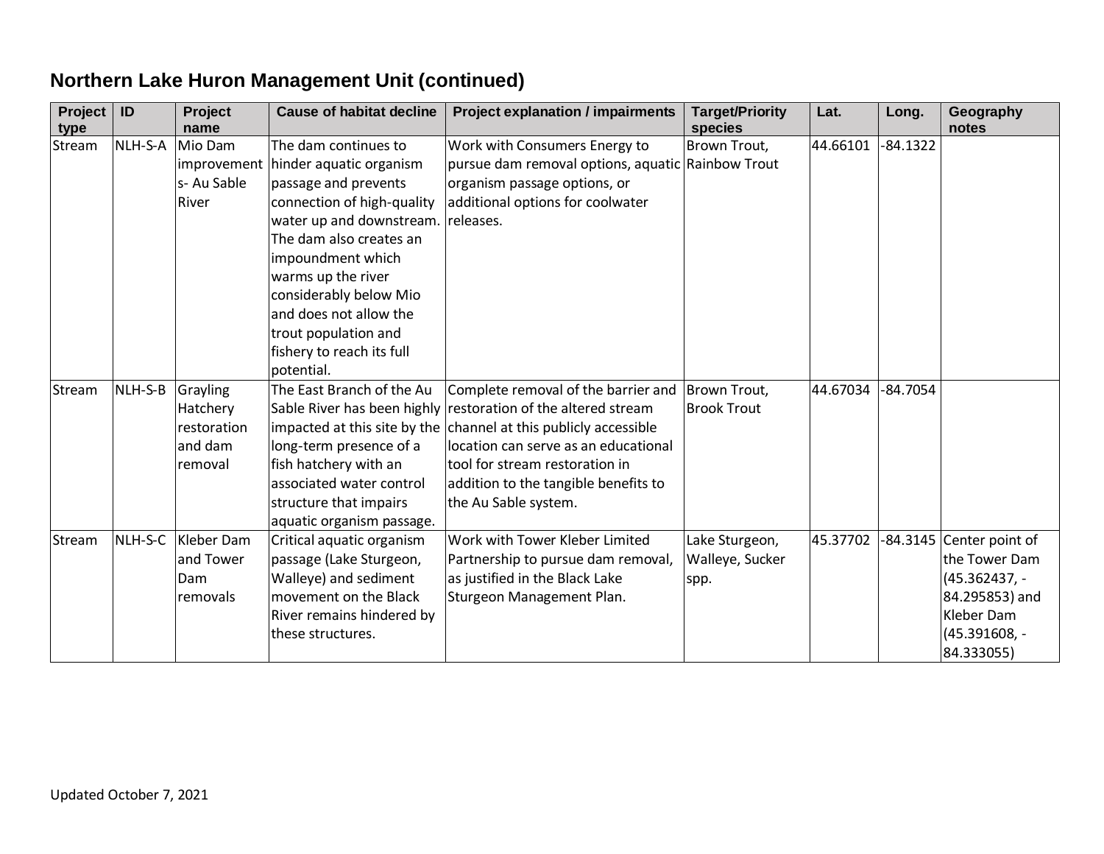# **Northern Lake Huron Management Unit (continued)**

| Project<br>type | ID      | Project<br>name                                           | <b>Cause of habitat decline</b>                                                                                                                                                                                                                                                                                                | <b>Project explanation / impairments</b>                                                                                                                                                                                                                  | <b>Target/Priority</b><br>species         | Lat.     | Long.      | Geography<br>notes                                                                                                        |
|-----------------|---------|-----------------------------------------------------------|--------------------------------------------------------------------------------------------------------------------------------------------------------------------------------------------------------------------------------------------------------------------------------------------------------------------------------|-----------------------------------------------------------------------------------------------------------------------------------------------------------------------------------------------------------------------------------------------------------|-------------------------------------------|----------|------------|---------------------------------------------------------------------------------------------------------------------------|
| Stream          | NLH-S-A | Mio Dam<br>improvement<br>s-Au Sable<br>River             | The dam continues to<br>hinder aquatic organism<br>passage and prevents<br>connection of high-quality<br>water up and downstream.<br>The dam also creates an<br>impoundment which<br>warms up the river<br>considerably below Mio<br>and does not allow the<br>trout population and<br>fishery to reach its full<br>potential. | Work with Consumers Energy to<br>pursue dam removal options, aquatic Rainbow Trout<br>organism passage options, or<br>additional options for coolwater<br>releases.                                                                                       | Brown Trout,                              | 44.66101 | $-84.1322$ |                                                                                                                           |
| Stream          | NLH-S-B | Grayling<br>Hatchery<br>restoration<br>and dam<br>removal | The East Branch of the Au<br>Sable River has been highly<br>impacted at this site by the<br>long-term presence of a<br>fish hatchery with an<br>associated water control<br>structure that impairs<br>aquatic organism passage.                                                                                                | Complete removal of the barrier and<br>restoration of the altered stream<br>channel at this publicly accessible<br>location can serve as an educational<br>tool for stream restoration in<br>addition to the tangible benefits to<br>the Au Sable system. | Brown Trout,<br><b>Brook Trout</b>        | 44.67034 | $-84.7054$ |                                                                                                                           |
| Stream          | NLH-S-C | Kleber Dam<br>and Tower<br>Dam<br>removals                | Critical aquatic organism<br>passage (Lake Sturgeon,<br>Walleye) and sediment<br>movement on the Black<br>River remains hindered by<br>these structures.                                                                                                                                                                       | Work with Tower Kleber Limited<br>Partnership to pursue dam removal,<br>as justified in the Black Lake<br>Sturgeon Management Plan.                                                                                                                       | Lake Sturgeon,<br>Walleye, Sucker<br>spp. | 45.37702 |            | -84.3145 Center point of<br>the Tower Dam<br>(45.362437, -<br>84.295853) and<br>Kleber Dam<br>(45.391608, -<br>84.333055) |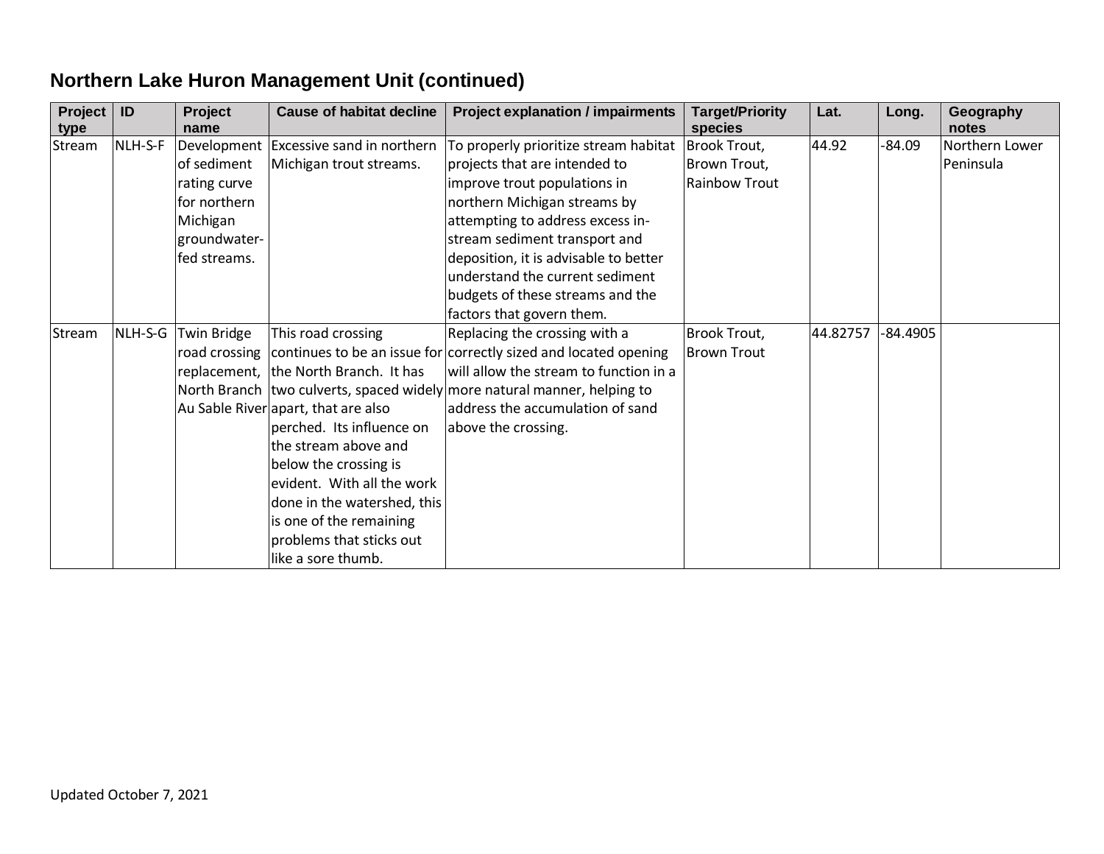| Project<br>type | ID      | Project<br>name                                                                         | <b>Cause of habitat decline</b>                                                                                                                                                                                                                                                                                            | <b>Project explanation / impairments</b>                                                                                                                                                                                                                                                                                      | <b>Target/Priority</b><br>species             | Lat.     | Long.      | Geography<br>notes          |
|-----------------|---------|-----------------------------------------------------------------------------------------|----------------------------------------------------------------------------------------------------------------------------------------------------------------------------------------------------------------------------------------------------------------------------------------------------------------------------|-------------------------------------------------------------------------------------------------------------------------------------------------------------------------------------------------------------------------------------------------------------------------------------------------------------------------------|-----------------------------------------------|----------|------------|-----------------------------|
| Stream          | NLH-S-F | of sediment<br>rating curve<br>for northern<br>Michigan<br>groundwater-<br>fed streams. | Development Excessive sand in northern<br>Michigan trout streams.                                                                                                                                                                                                                                                          | To properly prioritize stream habitat<br>projects that are intended to<br>improve trout populations in<br>northern Michigan streams by<br>attempting to address excess in-<br>stream sediment transport and<br>deposition, it is advisable to better<br>understand the current sediment<br>budgets of these streams and the   | Brook Trout,<br>Brown Trout,<br>Rainbow Trout | 44.92    | -84.09     | Northern Lower<br>Peninsula |
| Stream          | NLH-S-G | Twin Bridge                                                                             | This road crossing<br>replacement, the North Branch. It has<br>Au Sable River apart, that are also<br>perched. Its influence on<br>the stream above and<br>below the crossing is<br>evident. With all the work<br>done in the watershed, this<br>is one of the remaining<br>problems that sticks out<br>like a sore thumb. | factors that govern them.<br>Replacing the crossing with a<br>road crossing continues to be an issue for correctly sized and located opening<br>will allow the stream to function in a<br>North Branch two culverts, spaced widely more natural manner, helping to<br>address the accumulation of sand<br>above the crossing. | Brook Trout,<br><b>Brown Trout</b>            | 44.82757 | $-84.4905$ |                             |

# **Northern Lake Huron Management Unit (continued)**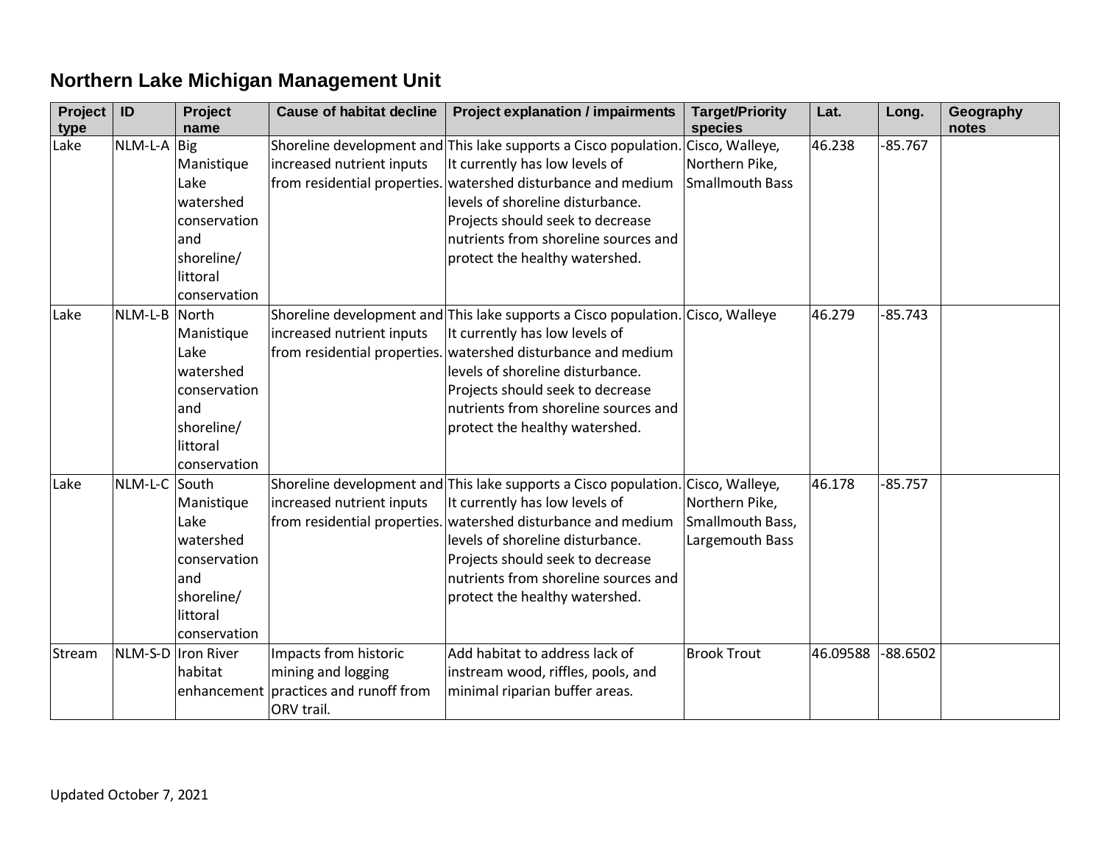# **Northern Lake Michigan Management Unit**

| Project<br>type | ID            | Project<br>name                                                                                                | <b>Cause of habitat decline</b>                                                        | <b>Project explanation / impairments</b>                                                                                                                                                                                                                                                                                              | <b>Target/Priority</b><br>species                     | Lat.     | Long.      | Geography<br>notes |
|-----------------|---------------|----------------------------------------------------------------------------------------------------------------|----------------------------------------------------------------------------------------|---------------------------------------------------------------------------------------------------------------------------------------------------------------------------------------------------------------------------------------------------------------------------------------------------------------------------------------|-------------------------------------------------------|----------|------------|--------------------|
| Lake            | $NLM-L-A$     | <b>Big</b><br>Manistique<br>Lake<br>watershed<br>conservation<br>and<br>shoreline/<br>littoral<br>conservation | increased nutrient inputs                                                              | Shoreline development and This lake supports a Cisco population. Cisco, Walleye,<br>It currently has low levels of<br>from residential properties. watershed disturbance and medium<br>levels of shoreline disturbance.<br>Projects should seek to decrease<br>nutrients from shoreline sources and<br>protect the healthy watershed. | Northern Pike,<br>Smallmouth Bass                     | 46.238   | $-85.767$  |                    |
| Lake            | NLM-L-B North | Manistique<br>Lake<br>watershed<br>conservation<br>and<br>shoreline/<br>littoral<br>conservation               | increased nutrient inputs<br>from residential properties.                              | Shoreline development and This lake supports a Cisco population. Cisco, Walleye<br>It currently has low levels of<br>watershed disturbance and medium<br>levels of shoreline disturbance.<br>Projects should seek to decrease<br>nutrients from shoreline sources and<br>protect the healthy watershed.                               |                                                       | 46.279   | $-85.743$  |                    |
| Lake            | NLM-L-C       | South<br>Manistique<br>Lake<br>watershed<br>conservation<br>and<br>shoreline/<br>littoral<br>conservation      | increased nutrient inputs                                                              | Shoreline development and This lake supports a Cisco population. Cisco, Walleye,<br>It currently has low levels of<br>from residential properties. watershed disturbance and medium<br>levels of shoreline disturbance.<br>Projects should seek to decrease<br>nutrients from shoreline sources and<br>protect the healthy watershed. | Northern Pike,<br>Smallmouth Bass,<br>Largemouth Bass | 46.178   | $-85.757$  |                    |
| Stream          |               | NLM-S-D  Iron River<br>habitat<br>enhancement                                                                  | Impacts from historic<br>mining and logging<br>practices and runoff from<br>ORV trail. | Add habitat to address lack of<br>instream wood, riffles, pools, and<br>minimal riparian buffer areas.                                                                                                                                                                                                                                | <b>Brook Trout</b>                                    | 46.09588 | $-88.6502$ |                    |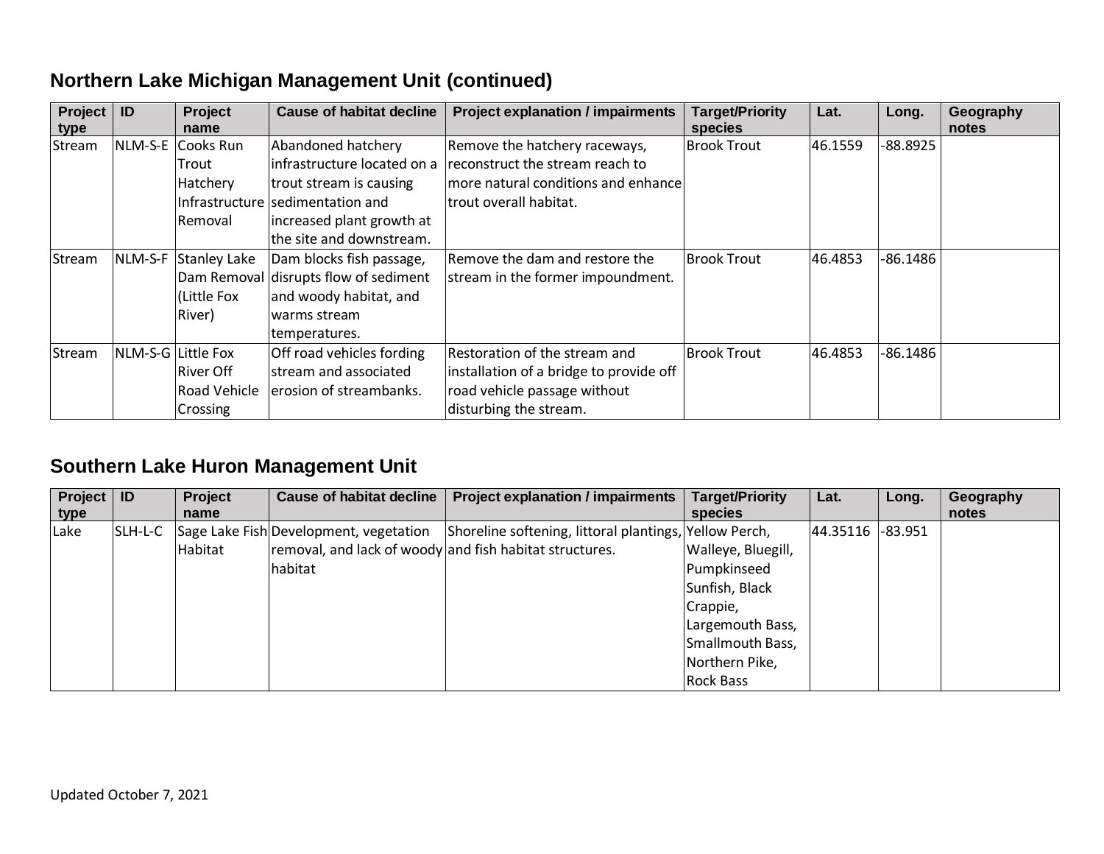#### **Northern Lake Michigan Management Unit (continued)**

| Project<br>type | ID                 | <b>Project</b><br>name | Cause of habitat decline              | <b>Project explanation / impairments</b> | <b>Target/Priority</b><br>species | Lat.    | Long.      | Geography<br>notes |
|-----------------|--------------------|------------------------|---------------------------------------|------------------------------------------|-----------------------------------|---------|------------|--------------------|
| Stream          |                    | NLM-S-E Cooks Run      | Abandoned hatchery                    | Remove the hatchery raceways,            | <b>Brook Trout</b>                | 46.1559 | -88.8925   |                    |
|                 |                    | Trout                  | infrastructure located on a           | reconstruct the stream reach to          |                                   |         |            |                    |
|                 |                    | Hatchery               | trout stream is causing               | more natural conditions and enhance      |                                   |         |            |                    |
|                 |                    | Infrastructure         | sedimentation and                     | trout overall habitat.                   |                                   |         |            |                    |
|                 |                    | <b>Removal</b>         | increased plant growth at             |                                          |                                   |         |            |                    |
|                 |                    |                        | the site and downstream.              |                                          |                                   |         |            |                    |
| Stream          | NLM-S-F            | Stanley Lake           | Dam blocks fish passage,              | Remove the dam and restore the           | <b>Brook Trout</b>                | 46.4853 | -86.1486   |                    |
|                 |                    |                        | Dam Removal disrupts flow of sediment | stream in the former impoundment.        |                                   |         |            |                    |
|                 |                    | Little Fox             | and woody habitat, and                |                                          |                                   |         |            |                    |
|                 |                    | River)                 | warms stream                          |                                          |                                   |         |            |                    |
|                 |                    |                        | temperatures.                         |                                          |                                   |         |            |                    |
| Stream          | NLM-S-G Little Fox |                        | Off road vehicles fording             | Restoration of the stream and            | <b>Brook Trout</b>                | 46.4853 | $-86.1486$ |                    |
|                 |                    | River Off              | stream and associated                 | installation of a bridge to provide off  |                                   |         |            |                    |
|                 |                    | <b>Road Vehicle</b>    | erosion of streambanks.               | road vehicle passage without             |                                   |         |            |                    |
|                 |                    | <b>Crossing</b>        |                                       | disturbing the stream.                   |                                   |         |            |                    |

#### **Southern Lake Huron Management Unit**

| Project   ID<br>type |          | <b>Project</b><br>name | <b>Cause of habitat decline</b>                         | <b>Project explanation / impairments</b>               | <b>Target/Priority</b><br>species | Lat.     | Long.   | Geography<br>notes |
|----------------------|----------|------------------------|---------------------------------------------------------|--------------------------------------------------------|-----------------------------------|----------|---------|--------------------|
| Lake                 | ISLH-L-C |                        | Sage Lake Fish Development, vegetation                  | Shoreline softening, littoral plantings, Yellow Perch, |                                   | 44.35116 | -83.951 |                    |
|                      |          | Habitat                | removal, and lack of woody and fish habitat structures. |                                                        | Walleye, Bluegill,                |          |         |                    |
|                      |          |                        | habitat                                                 |                                                        | Pumpkinseed                       |          |         |                    |
|                      |          |                        |                                                         |                                                        | Sunfish, Black                    |          |         |                    |
|                      |          |                        |                                                         |                                                        | Crappie,                          |          |         |                    |
|                      |          |                        |                                                         |                                                        | Largemouth Bass,                  |          |         |                    |
|                      |          |                        |                                                         |                                                        | Smallmouth Bass,                  |          |         |                    |
|                      |          |                        |                                                         |                                                        | Northern Pike,                    |          |         |                    |
|                      |          |                        |                                                         |                                                        | <b>Rock Bass</b>                  |          |         |                    |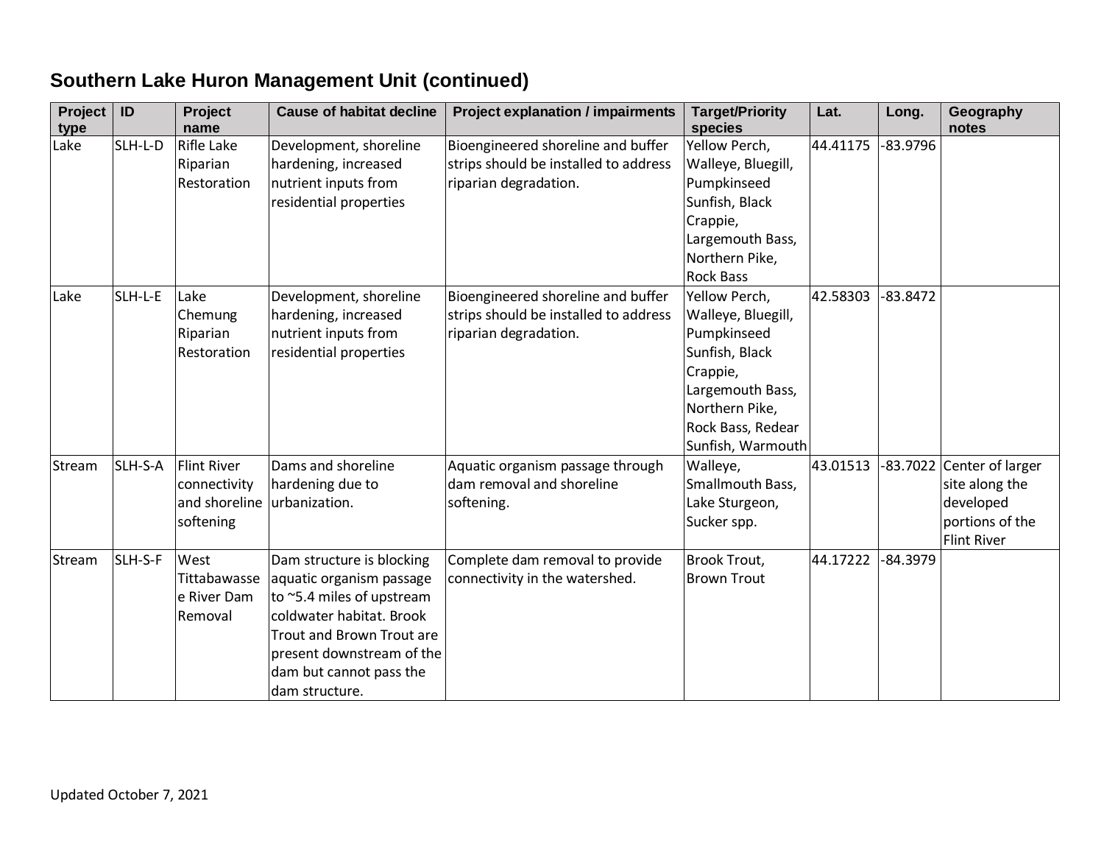# **Southern Lake Huron Management Unit (continued)**

| Project<br>type | ID      | Project<br>name                                                  | <b>Cause of habitat decline</b>                                                                                                                                                                                       | <b>Project explanation / impairments</b>                                                             | <b>Target/Priority</b><br>species                                                                                                                                | Lat.     | Long.      | Geography<br>notes                                                                         |
|-----------------|---------|------------------------------------------------------------------|-----------------------------------------------------------------------------------------------------------------------------------------------------------------------------------------------------------------------|------------------------------------------------------------------------------------------------------|------------------------------------------------------------------------------------------------------------------------------------------------------------------|----------|------------|--------------------------------------------------------------------------------------------|
| Lake            | SLH-L-D | <b>Rifle Lake</b><br>Riparian<br>Restoration                     | Development, shoreline<br>hardening, increased<br>nutrient inputs from<br>residential properties                                                                                                                      | Bioengineered shoreline and buffer<br>strips should be installed to address<br>riparian degradation. | Yellow Perch,<br>Walleye, Bluegill,<br>Pumpkinseed<br>Sunfish, Black<br>Crappie,<br>Largemouth Bass,<br>Northern Pike,<br><b>Rock Bass</b>                       | 44.41175 | $-83.9796$ |                                                                                            |
| Lake            | SLH-L-E | Lake<br>Chemung<br>Riparian<br>Restoration                       | Development, shoreline<br>hardening, increased<br>nutrient inputs from<br>residential properties                                                                                                                      | Bioengineered shoreline and buffer<br>strips should be installed to address<br>riparian degradation. | Yellow Perch,<br>Walleye, Bluegill,<br>Pumpkinseed<br>Sunfish, Black<br>Crappie,<br>Largemouth Bass,<br>Northern Pike,<br>Rock Bass, Redear<br>Sunfish, Warmouth | 42.58303 | $-83.8472$ |                                                                                            |
| Stream          | SLH-S-A | <b>Flint River</b><br>connectivity<br>and shoreline<br>softening | Dams and shoreline<br>hardening due to<br>urbanization.                                                                                                                                                               | Aquatic organism passage through<br>dam removal and shoreline<br>softening.                          | Walleye,<br>Smallmouth Bass,<br>Lake Sturgeon,<br>Sucker spp.                                                                                                    | 43.01513 |            | -83.7022 Center of larger<br>site along the<br>developed<br>portions of the<br>Flint River |
| Stream          | SLH-S-F | West<br>Tittabawasse<br>e River Dam<br>Removal                   | Dam structure is blocking<br>aquatic organism passage<br>to ~5.4 miles of upstream<br>coldwater habitat. Brook<br>Trout and Brown Trout are<br>present downstream of the<br>dam but cannot pass the<br>dam structure. | Complete dam removal to provide<br>connectivity in the watershed.                                    | <b>Brook Trout,</b><br><b>Brown Trout</b>                                                                                                                        | 44.17222 | -84.3979   |                                                                                            |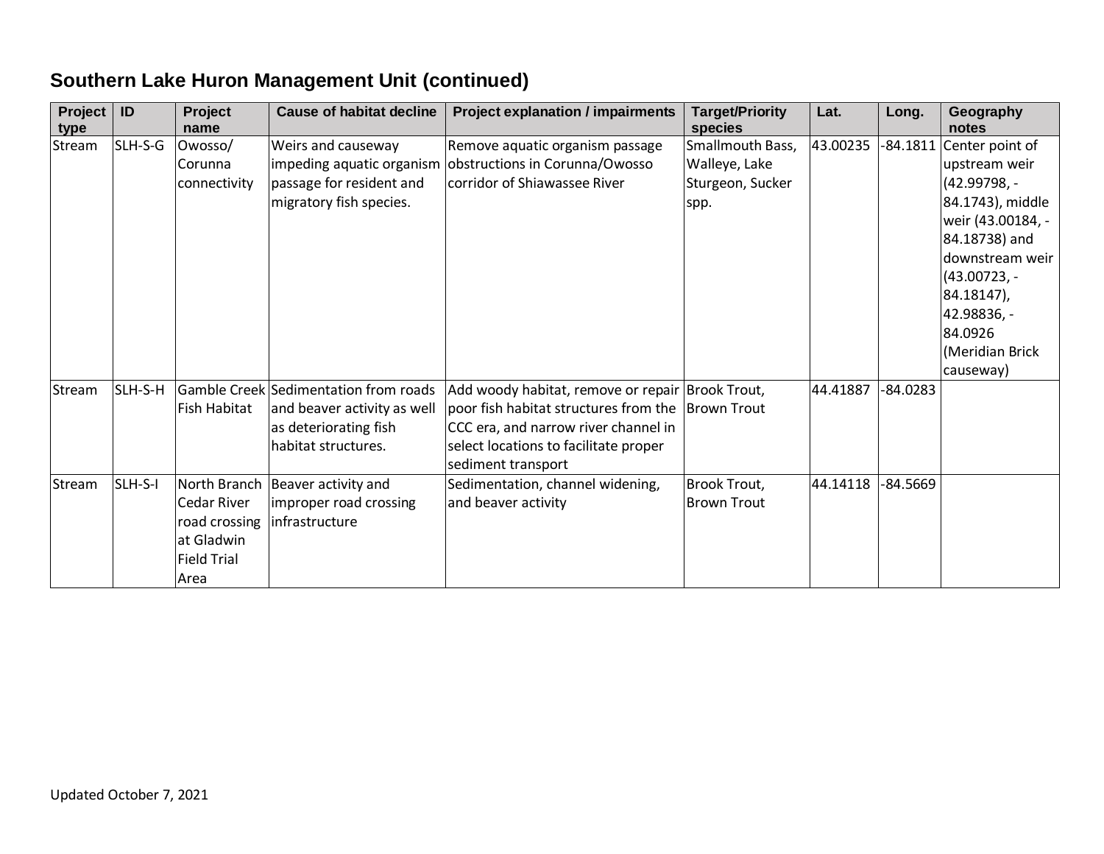# **Southern Lake Huron Management Unit (continued)**

| Project<br>type | ID      | Project<br>name     | <b>Cause of habitat decline</b>       | <b>Project explanation / impairments</b>                    | <b>Target/Priority</b><br>species | Lat.     | Long.      | Geography<br>notes |
|-----------------|---------|---------------------|---------------------------------------|-------------------------------------------------------------|-----------------------------------|----------|------------|--------------------|
| Stream          | SLH-S-G | Owosso/             | Weirs and causeway                    | Remove aquatic organism passage                             | Smallmouth Bass,                  | 43.00235 | $-84.1811$ | Center point of    |
|                 |         | Corunna             | impeding aquatic organism             | obstructions in Corunna/Owosso                              | Walleye, Lake                     |          |            | upstream weir      |
|                 |         | connectivity        | passage for resident and              | corridor of Shiawassee River                                | Sturgeon, Sucker                  |          |            | $(42.99798,-$      |
|                 |         |                     | migratory fish species.               |                                                             | spp.                              |          |            | 84.1743), middle   |
|                 |         |                     |                                       |                                                             |                                   |          |            | weir (43.00184, -  |
|                 |         |                     |                                       |                                                             |                                   |          |            | 84.18738) and      |
|                 |         |                     |                                       |                                                             |                                   |          |            | downstream weir    |
|                 |         |                     |                                       |                                                             |                                   |          |            | $(43.00723,-$      |
|                 |         |                     |                                       |                                                             |                                   |          |            | 84.18147),         |
|                 |         |                     |                                       |                                                             |                                   |          |            | 42.98836, -        |
|                 |         |                     |                                       |                                                             |                                   |          |            | 84.0926            |
|                 |         |                     |                                       |                                                             |                                   |          |            | (Meridian Brick    |
|                 |         |                     |                                       |                                                             |                                   |          |            | causeway)          |
| Stream          | SLH-S-H |                     | Gamble Creek Sedimentation from roads | Add woody habitat, remove or repair Brook Trout,            |                                   | 44.41887 | $-84.0283$ |                    |
|                 |         | <b>Fish Habitat</b> | and beaver activity as well           | poor fish habitat structures from the Brown Trout           |                                   |          |            |                    |
|                 |         |                     | as deteriorating fish                 | CCC era, and narrow river channel in                        |                                   |          |            |                    |
|                 |         |                     | habitat structures.                   | select locations to facilitate proper<br>sediment transport |                                   |          |            |                    |
| Stream          | SLH-S-I |                     | North Branch   Beaver activity and    | Sedimentation, channel widening,                            | <b>Brook Trout,</b>               | 44.14118 | -84.5669   |                    |
|                 |         | <b>Cedar River</b>  | improper road crossing                | and beaver activity                                         | <b>Brown Trout</b>                |          |            |                    |
|                 |         | road crossing       | infrastructure                        |                                                             |                                   |          |            |                    |
|                 |         | at Gladwin          |                                       |                                                             |                                   |          |            |                    |
|                 |         | <b>Field Trial</b>  |                                       |                                                             |                                   |          |            |                    |
|                 |         | Area                |                                       |                                                             |                                   |          |            |                    |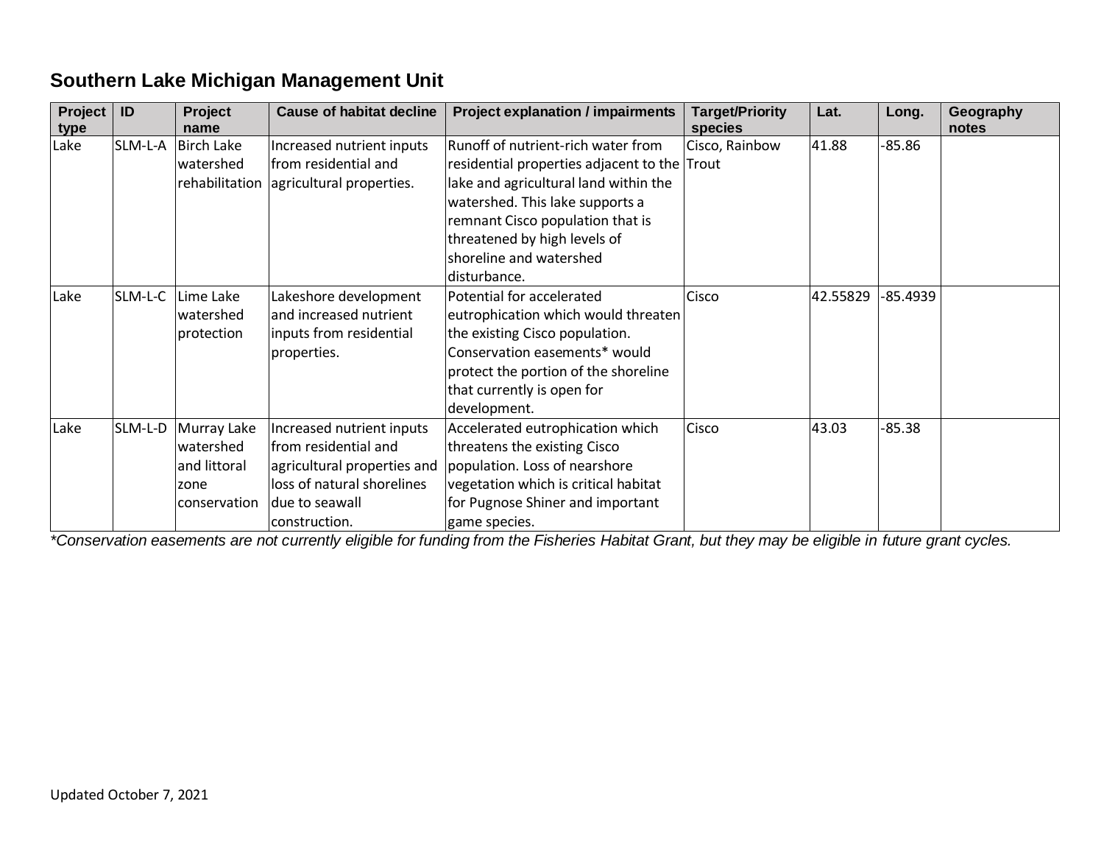#### **Southern Lake Michigan Management Unit**

| Project | ID      | Project           | <b>Cause of habitat decline</b> | <b>Project explanation / impairments</b>     | <b>Target/Priority</b> | Lat.     | Long.    | Geography |
|---------|---------|-------------------|---------------------------------|----------------------------------------------|------------------------|----------|----------|-----------|
| type    |         | name              |                                 |                                              | species                |          |          | notes     |
| Lake    | SLM-L-A | <b>Birch Lake</b> | Increased nutrient inputs       | Runoff of nutrient-rich water from           | Cisco, Rainbow         | 41.88    | $-85.86$ |           |
|         |         | watershed         | from residential and            | residential properties adjacent to the Trout |                        |          |          |           |
|         |         | rehabilitation    | agricultural properties.        | lake and agricultural land within the        |                        |          |          |           |
|         |         |                   |                                 | watershed. This lake supports a              |                        |          |          |           |
|         |         |                   |                                 | remnant Cisco population that is             |                        |          |          |           |
|         |         |                   |                                 | threatened by high levels of                 |                        |          |          |           |
|         |         |                   |                                 | shoreline and watershed                      |                        |          |          |           |
|         |         |                   |                                 | disturbance.                                 |                        |          |          |           |
| Lake    | SLM-L-C | Lime Lake         | Lakeshore development           | Potential for accelerated                    | Cisco                  | 42.55829 | -85.4939 |           |
|         |         | watershed         | and increased nutrient          | eutrophication which would threaten          |                        |          |          |           |
|         |         | protection        | inputs from residential         | the existing Cisco population.               |                        |          |          |           |
|         |         |                   | properties.                     | Conservation easements* would                |                        |          |          |           |
|         |         |                   |                                 | protect the portion of the shoreline         |                        |          |          |           |
|         |         |                   |                                 | that currently is open for                   |                        |          |          |           |
|         |         |                   |                                 | development.                                 |                        |          |          |           |
| Lake    | SLM-L-D | Murray Lake       | Increased nutrient inputs       | Accelerated eutrophication which             | Cisco                  | 43.03    | $-85.38$ |           |
|         |         | watershed         | from residential and            | threatens the existing Cisco                 |                        |          |          |           |
|         |         | and littoral      | agricultural properties and     | population. Loss of nearshore                |                        |          |          |           |
|         |         | zone              | loss of natural shorelines      | vegetation which is critical habitat         |                        |          |          |           |
|         |         | conservation      | due to seawall                  | for Pugnose Shiner and important             |                        |          |          |           |
|         |         |                   | construction.                   | game species.                                |                        |          |          |           |

*\*Conservation easements are not currently eligible for funding from the Fisheries Habitat Grant, but they may be eligible in future grant cycles.*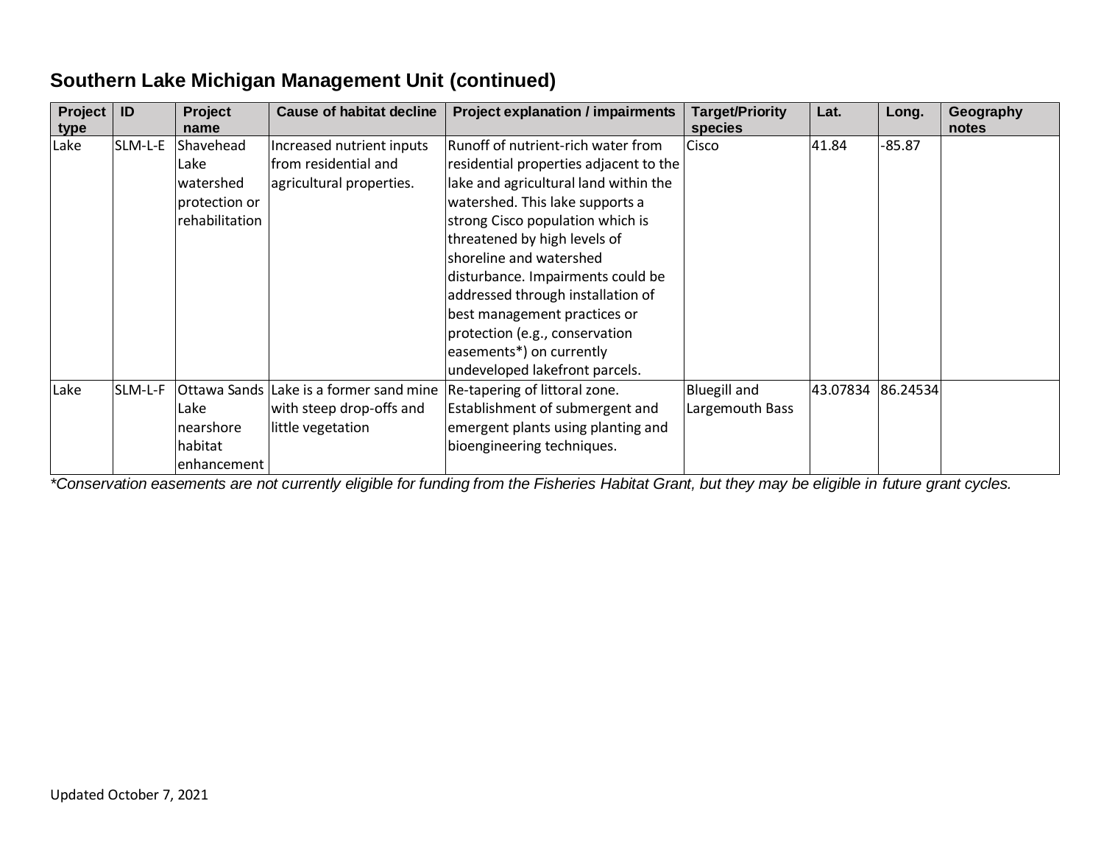| Project<br>type | ID      | Project<br>name | <b>Cause of habitat decline</b> | <b>Project explanation / impairments</b> | <b>Target/Priority</b><br>species | Lat.     | Long.    | Geography<br>notes |
|-----------------|---------|-----------------|---------------------------------|------------------------------------------|-----------------------------------|----------|----------|--------------------|
| Lake            | SLM-L-E | Shavehead       | Increased nutrient inputs       | Runoff of nutrient-rich water from       | Cisco                             | 41.84    | $-85.87$ |                    |
|                 |         | Lake            | from residential and            | residential properties adjacent to the   |                                   |          |          |                    |
|                 |         | watershed       | agricultural properties.        | lake and agricultural land within the    |                                   |          |          |                    |
|                 |         | protection or   |                                 | watershed. This lake supports a          |                                   |          |          |                    |
|                 |         | rehabilitation  |                                 | strong Cisco population which is         |                                   |          |          |                    |
|                 |         |                 |                                 | threatened by high levels of             |                                   |          |          |                    |
|                 |         |                 |                                 | shoreline and watershed                  |                                   |          |          |                    |
|                 |         |                 |                                 | disturbance. Impairments could be        |                                   |          |          |                    |
|                 |         |                 |                                 | addressed through installation of        |                                   |          |          |                    |
|                 |         |                 |                                 | best management practices or             |                                   |          |          |                    |
|                 |         |                 |                                 | protection (e.g., conservation           |                                   |          |          |                    |
|                 |         |                 |                                 | easements*) on currently                 |                                   |          |          |                    |
|                 |         |                 |                                 | undeveloped lakefront parcels.           |                                   |          |          |                    |
| Lake            | SLM-L-F | Ottawa Sands    | Lake is a former sand mine      | Re-tapering of littoral zone.            | <b>Bluegill and</b>               | 43.07834 | 86.24534 |                    |
|                 |         | Lake            | with steep drop-offs and        | Establishment of submergent and          | Largemouth Bass                   |          |          |                    |
|                 |         | nearshore       | little vegetation               | emergent plants using planting and       |                                   |          |          |                    |
|                 |         | habitat         |                                 | bioengineering techniques.               |                                   |          |          |                    |
|                 |         | enhancement     |                                 |                                          |                                   |          |          |                    |

#### **Southern Lake Michigan Management Unit (continued)**

*\*Conservation easements are not currently eligible for funding from the Fisheries Habitat Grant, but they may be eligible in future grant cycles.*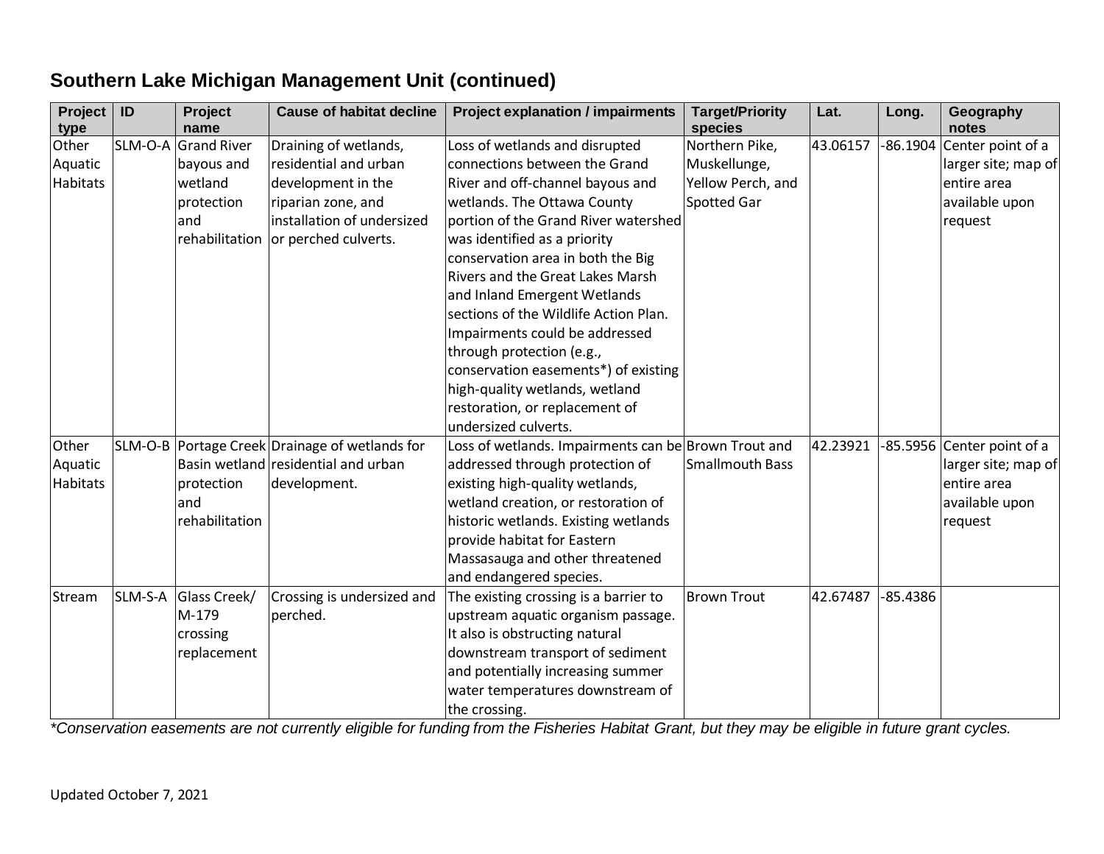| <b>Project</b><br>type | ID      | Project<br>name     | <b>Cause of habitat decline</b>                | <b>Project explanation / impairments</b>                         | <b>Target/Priority</b><br>species | Lat.     | Long.    | Geography<br>notes           |
|------------------------|---------|---------------------|------------------------------------------------|------------------------------------------------------------------|-----------------------------------|----------|----------|------------------------------|
| Other                  |         | SLM-O-A Grand River | Draining of wetlands,                          | Loss of wetlands and disrupted                                   | Northern Pike,                    | 43.06157 |          | $-86.1904$ Center point of a |
| Aquatic                |         | bayous and          | residential and urban                          | connections between the Grand                                    | Muskellunge,                      |          |          | larger site; map of          |
| Habitats               |         | wetland             | development in the                             | River and off-channel bayous and                                 | Yellow Perch, and                 |          |          | entire area                  |
|                        |         | protection          | riparian zone, and                             | wetlands. The Ottawa County                                      | Spotted Gar                       |          |          | available upon               |
|                        |         | and                 | installation of undersized                     | portion of the Grand River watershed                             |                                   |          |          | request                      |
|                        |         | rehabilitation      | or perched culverts.                           | was identified as a priority                                     |                                   |          |          |                              |
|                        |         |                     |                                                | conservation area in both the Big                                |                                   |          |          |                              |
|                        |         |                     |                                                | Rivers and the Great Lakes Marsh                                 |                                   |          |          |                              |
|                        |         |                     |                                                | and Inland Emergent Wetlands                                     |                                   |          |          |                              |
|                        |         |                     |                                                | sections of the Wildlife Action Plan.                            |                                   |          |          |                              |
|                        |         |                     |                                                | Impairments could be addressed                                   |                                   |          |          |                              |
|                        |         |                     |                                                | through protection (e.g.,                                        |                                   |          |          |                              |
|                        |         |                     |                                                | conservation easements*) of existing                             |                                   |          |          |                              |
|                        |         |                     |                                                | high-quality wetlands, wetland                                   |                                   |          |          |                              |
|                        |         |                     |                                                | restoration, or replacement of                                   |                                   |          |          |                              |
|                        |         |                     |                                                | undersized culverts.                                             |                                   |          |          |                              |
| Other                  |         |                     | SLM-O-B Portage Creek Drainage of wetlands for | Loss of wetlands. Impairments can be Brown Trout and             |                                   | 42.23921 |          | -85.5956 Center point of a   |
| Aquatic                |         |                     | Basin wetland residential and urban            | addressed through protection of                                  | Smallmouth Bass                   |          |          | larger site; map of          |
| Habitats               |         | protection          | development.                                   | existing high-quality wetlands,                                  |                                   |          |          | entire area                  |
|                        |         | and                 |                                                | wetland creation, or restoration of                              |                                   |          |          | available upon               |
|                        |         | rehabilitation      |                                                | historic wetlands. Existing wetlands                             |                                   |          |          | request                      |
|                        |         |                     |                                                | provide habitat for Eastern                                      |                                   |          |          |                              |
|                        |         |                     |                                                | Massasauga and other threatened                                  |                                   |          |          |                              |
|                        | SLM-S-A | Glass Creek/        | Crossing is undersized and                     | and endangered species.<br>The existing crossing is a barrier to | <b>Brown Trout</b>                | 42.67487 | -85.4386 |                              |
| Stream                 |         | M-179               | perched.                                       | upstream aquatic organism passage.                               |                                   |          |          |                              |
|                        |         | crossing            |                                                | It also is obstructing natural                                   |                                   |          |          |                              |
|                        |         | replacement         |                                                | downstream transport of sediment                                 |                                   |          |          |                              |
|                        |         |                     |                                                | and potentially increasing summer                                |                                   |          |          |                              |
|                        |         |                     |                                                | water temperatures downstream of                                 |                                   |          |          |                              |
|                        |         |                     |                                                | the crossing.                                                    |                                   |          |          |                              |

#### **Southern Lake Michigan Management Unit (continued)**

*\*Conservation easements are not currently eligible for funding from the Fisheries Habitat Grant, but they may be eligible in future grant cycles.*